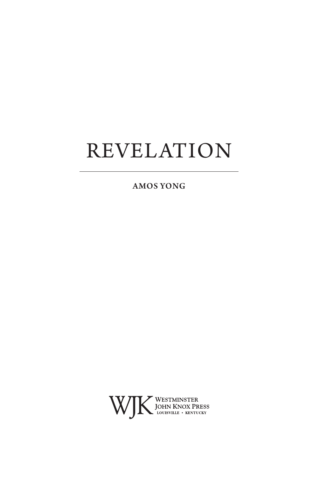# REVELATION

AMOS YONG

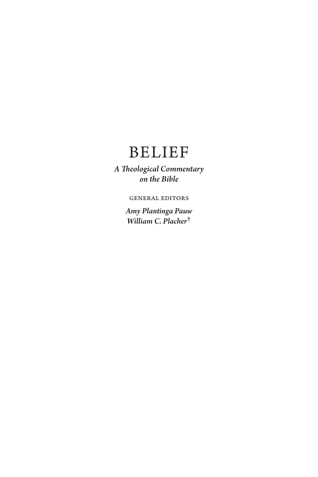# BELIEF

*A Theological Commentary on the Bible*

general editors

*Amy Plantinga Pauw William C. Placher*†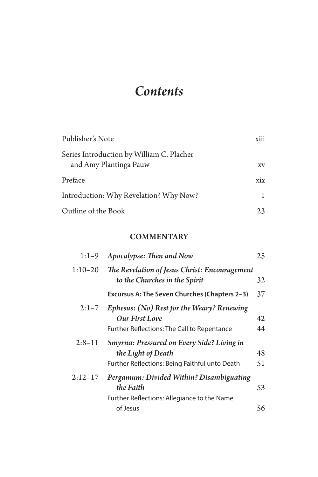# *Contents*

| Publisher's Note                                                    | xiii      |
|---------------------------------------------------------------------|-----------|
| Series Introduction by William C. Placher<br>and Amy Plantinga Pauw | <b>XV</b> |
| Preface                                                             | xix       |
| Introduction: Why Revelation? Why Now?                              |           |
| Outline of the Book                                                 | 23        |

#### **COMMENTARY**

| $1:1-9$     | Apocalypse: Then and Now                                                                                                  | 25       |
|-------------|---------------------------------------------------------------------------------------------------------------------------|----------|
| $1:10 - 20$ | The Revelation of Jesus Christ: Encouragement<br>to the Churches in the Spirit                                            | 32       |
|             | Excursus A: The Seven Churches (Chapters 2-3)                                                                             | 37       |
| $2:1 - 7$   | Ephesus: (No) Rest for the Weary? Renewing<br><b>Our First Love</b><br>Further Reflections: The Call to Repentance        | 42<br>44 |
| $2:8-11$    | <b>Smyrna: Pressured on Every Side? Living in</b><br>the Light of Death<br>Further Reflections: Being Faithful unto Death | 48<br>51 |
| $2:12-17$   | Pergamum: Divided Within? Disambiguating<br>the Faith<br>Further Reflections: Allegiance to the Name                      | 53       |
|             | of Jesus                                                                                                                  | 56       |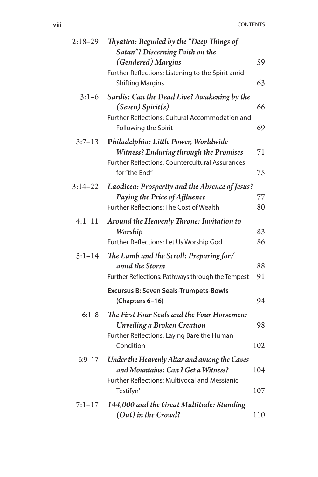| $2:18-29$   | Thyatira: Beguiled by the "Deep Things of<br>Satan"? Discerning Faith on the                                                                |          |
|-------------|---------------------------------------------------------------------------------------------------------------------------------------------|----------|
|             | (Gendered) Margins<br>Further Reflections: Listening to the Spirit amid                                                                     | 59       |
|             | <b>Shifting Margins</b>                                                                                                                     | 63       |
| $3:1-6$     | Sardis: Can the Dead Live? Awakening by the<br>(Seven) Spirit(s)<br>Further Reflections: Cultural Accommodation and<br>Following the Spirit | 66<br>69 |
| $3:7-13$    | Philadelphia: Little Power, Worldwide                                                                                                       |          |
|             | <b>Witness? Enduring through the Promises</b><br>Further Reflections: Countercultural Assurances                                            | 71       |
|             | for "the End"                                                                                                                               | 75       |
| $3:14 - 22$ | Laodicea: Prosperity and the Absence of Jesus?                                                                                              |          |
|             | Paying the Price of Affluence<br>Further Reflections: The Cost of Wealth                                                                    | 77<br>80 |
| $4:1-11$    | Around the Heavenly Throne: Invitation to                                                                                                   |          |
|             | Worship                                                                                                                                     | 83       |
|             | Further Reflections: Let Us Worship God                                                                                                     | 86       |
| $5:1-14$    | The Lamb and the Scroll: Preparing for/<br>amid the Storm                                                                                   | 88       |
|             | Further Reflections: Pathways through the Tempest                                                                                           | 91       |
|             | <b>Excursus B: Seven Seals-Trumpets-Bowls</b><br>(Chapters 6-16)                                                                            | 94       |
| $6:1 - 8$   | The First Four Seals and the Four Horsemen:                                                                                                 |          |
|             | <b>Unveiling a Broken Creation</b>                                                                                                          | 98       |
|             | Further Reflections: Laying Bare the Human<br>Condition                                                                                     | 102      |
| $6:9 - 17$  | Under the Heavenly Altar and among the Caves                                                                                                |          |
|             | and Mountains: Can I Get a Witness?                                                                                                         | 104      |
|             | Further Reflections: Multivocal and Messianic<br>Testifyn'                                                                                  | 107      |
| $7:1 - 17$  | 144,000 and the Great Multitude: Standing                                                                                                   |          |
|             | (Out) in the Crowd?                                                                                                                         | 110      |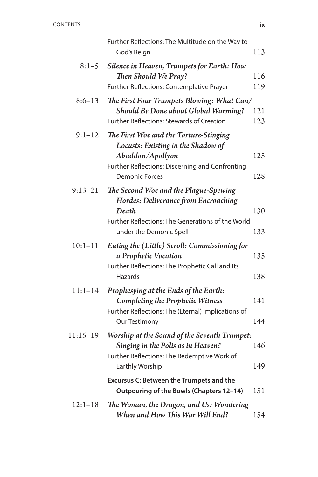|             | Further Reflections: The Multitude on the Way to<br>God's Reign                                                                                                              | 113        |
|-------------|------------------------------------------------------------------------------------------------------------------------------------------------------------------------------|------------|
| $8:1 - 5$   | Silence in Heaven, Trumpets for Earth: How<br>Then Should We Pray?<br>Further Reflections: Contemplative Prayer                                                              | 116<br>119 |
| $8:6 - 13$  | The First Four Trumpets Blowing: What Can/<br><b>Should Be Done about Global Warming?</b><br>Further Reflections: Stewards of Creation                                       | 121<br>123 |
| $9:1-12$    | The First Woe and the Torture-Stinging<br>Locusts: Existing in the Shadow of<br>Abaddon/Apollyon<br>Further Reflections: Discerning and Confronting<br><b>Demonic Forces</b> | 125<br>128 |
| $9:13 - 21$ | The Second Woe and the Plague-Spewing<br>Hordes: Deliverance from Encroaching<br>Death<br>Further Reflections: The Generations of the World<br>under the Demonic Spell       | 130<br>133 |
| $10:1 - 11$ | Eating the (Little) Scroll: Commissioning for<br>a Prophetic Vocation<br>Further Reflections: The Prophetic Call and Its<br><b>Hazards</b>                                   | 135<br>138 |
| $11:1 - 14$ | Prophesying at the Ends of the Earth:<br><b>Completing the Prophetic Witness</b><br>Further Reflections: The (Eternal) Implications of<br>Our Testimony                      | 141<br>144 |
| $11:15-19$  | Worship at the Sound of the Seventh Trumpet:<br>Singing in the Polis as in Heaven?<br>Further Reflections: The Redemptive Work of<br>Earthly Worship                         | 146<br>149 |
|             | Excursus C: Between the Trumpets and the<br>Outpouring of the Bowls (Chapters 12-14)                                                                                         | 151        |
| $12:1 - 18$ | The Woman, the Dragon, and Us: Wondering<br>When and How This War Will End?                                                                                                  | 154        |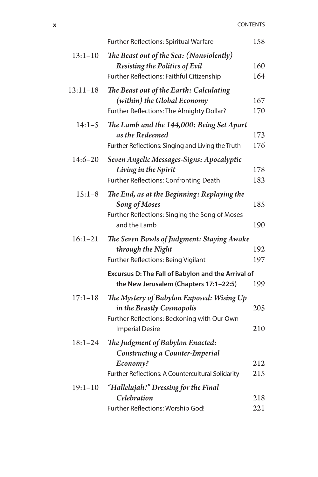|              | Further Reflections: Spiritual Warfare                                                                                                          | 158        |
|--------------|-------------------------------------------------------------------------------------------------------------------------------------------------|------------|
| $13:1 - 10$  | The Beast out of the Sea: (Nonviolently)<br><b>Resisting the Politics of Evil</b><br>Further Reflections: Faithful Citizenship                  | 160<br>164 |
| $13:11 - 18$ | The Beast out of the Earth: Calculating<br>(within) the Global Economy<br>Further Reflections: The Almighty Dollar?                             | 167<br>170 |
| $14:1-5$     | The Lamb and the 144,000: Being Set Apart<br>as the Redeemed<br>Further Reflections: Singing and Living the Truth                               | 173<br>176 |
| $14:6 - 20$  | Seven Angelic Messages-Signs: Apocalyptic<br>Living in the Spirit<br>Further Reflections: Confronting Death                                     | 178<br>183 |
| $15:1 - 8$   | The End, as at the Beginning: Replaying the<br><b>Song of Moses</b><br>Further Reflections: Singing the Song of Moses<br>and the Lamb           | 185<br>190 |
| $16:1 - 21$  | The Seven Bowls of Judgment: Staying Awake<br>through the Night<br>Further Reflections: Being Vigilant                                          | 192<br>197 |
|              | Excursus D: The Fall of Babylon and the Arrival of<br>the New Jerusalem (Chapters 17:1-22:5)                                                    | 199        |
| $17:1 - 18$  | The Mystery of Babylon Exposed: Wising Up<br>in the Beastly Cosmopolis<br>Further Reflections: Beckoning with Our Own<br><b>Imperial Desire</b> | 205<br>210 |
| $18:1 - 24$  | The Judgment of Babylon Enacted:<br><b>Constructing a Counter-Imperial</b>                                                                      | 212        |
|              | Economy?<br>Further Reflections: A Countercultural Solidarity                                                                                   | 215        |
| $19:1 - 10$  | "Hallelujah!" Dressing for the Final<br>Celebration<br>Further Reflections: Worship God!                                                        | 218<br>221 |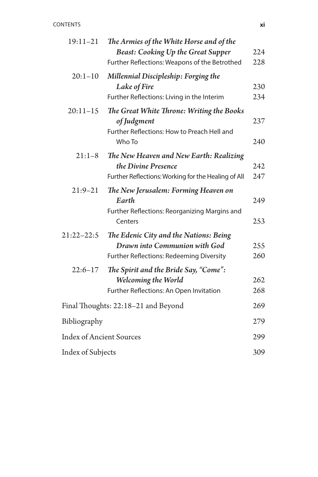| $19:11 - 21$                    | The Armies of the White Horse and of the            |     |
|---------------------------------|-----------------------------------------------------|-----|
|                                 | <b>Beast: Cooking Up the Great Supper</b>           | 224 |
|                                 | Further Reflections: Weapons of the Betrothed       | 228 |
| $20:1-10$                       | Millennial Discipleship: Forging the                |     |
|                                 | Lake of Fire                                        | 230 |
|                                 | Further Reflections: Living in the Interim          | 234 |
| $20:11-15$                      | The Great White Throne: Writing the Books           |     |
|                                 | of Judgment                                         | 237 |
|                                 | Further Reflections: How to Preach Hell and         |     |
|                                 | Who To                                              | 240 |
| $21:1-8$                        | The New Heaven and New Earth: Realizing             |     |
|                                 | the Divine Presence                                 | 242 |
|                                 | Further Reflections: Working for the Healing of All | 247 |
| $21:9-21$                       | The New Jerusalem: Forming Heaven on                |     |
|                                 | Earth                                               | 249 |
|                                 | Further Reflections: Reorganizing Margins and       |     |
|                                 | Centers                                             | 253 |
| 21:22-22:5                      | The Edenic City and the Nations: Being              |     |
|                                 | Drawn into Communion with God                       | 255 |
|                                 | <b>Further Reflections: Redeeming Diversity</b>     | 260 |
| $22:6 - 17$                     | The Spirit and the Bride Say, "Come":               |     |
|                                 | <b>Welcoming the World</b>                          | 262 |
|                                 | Further Reflections: An Open Invitation             | 268 |
|                                 | Final Thoughts: 22:18-21 and Beyond                 | 269 |
| Bibliography                    |                                                     | 279 |
| <b>Index of Ancient Sources</b> |                                                     | 299 |
| Index of Subjects               |                                                     | 309 |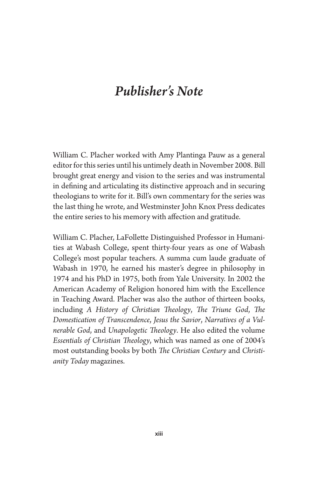### *Publisher's Note*

William C. Placher worked with Amy Plantinga Pauw as a general editor for this series until his untimely death in November 2008. Bill brought great energy and vision to the series and was instrumental in defining and articulating its distinctive approach and in securing theologians to write for it. Bill's own commentary for the series was the last thing he wrote, and Westminster John Knox Press dedicates the entire series to his memory with affection and gratitude.

William C. Placher, LaFollette Distinguished Professor in Humanities at Wabash College, spent thirty-four years as one of Wabash College's most popular teachers. A summa cum laude graduate of Wabash in 1970, he earned his master's degree in philosophy in 1974 and his PhD in 1975, both from Yale University. In 2002 the American Academy of Religion honored him with the Excellence in Teaching Award. Placher was also the author of thirteen books, including *A History of Christian Theology*, *The Triune God*, *The Domestication of Transcendence*, *Jesus the Savior*, *Narratives of a Vulnerable God*, and *Unapologetic Theology*. He also edited the volume *Essentials of Christian Theology*, which was named as one of 2004's most outstanding books by both *The Christian Century* and *Christianity Today* magazines.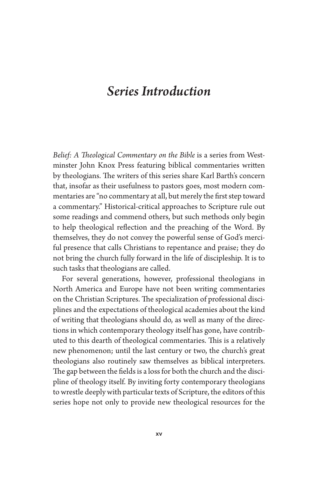### *Series Introduction*

*Belief: A Theological Commentary on the Bible* is a series from Westminster John Knox Press featuring biblical commentaries written by theologians. The writers of this series share Karl Barth's concern that, insofar as their usefulness to pastors goes, most modern commentaries are "no commentary at all, but merely the first step toward a commentary." Historical-critical approaches to Scripture rule out some readings and commend others, but such methods only begin to help theological reflection and the preaching of the Word. By themselves, they do not convey the powerful sense of God's merciful presence that calls Christians to repentance and praise; they do not bring the church fully forward in the life of discipleship. It is to such tasks that theologians are called.

For several generations, however, professional theologians in North America and Europe have not been writing commentaries on the Christian Scriptures. The specialization of professional disciplines and the expectations of theological academies about the kind of writing that theologians should do, as well as many of the directions in which contemporary theology itself has gone, have contributed to this dearth of theological commentaries. This is a relatively new phenomenon; until the last century or two, the church's great theologians also routinely saw themselves as biblical interpreters. The gap between the fields is a loss for both the church and the discipline of theology itself. By inviting forty contemporary theologians to wrestle deeply with particular texts of Scripture, the editors of this series hope not only to provide new theological resources for the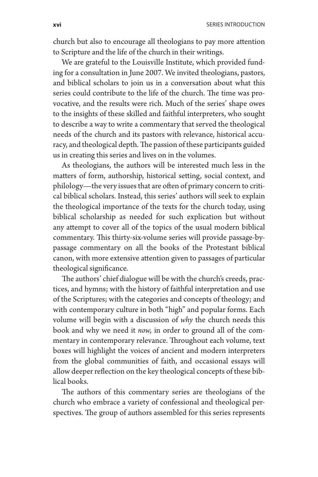church but also to encourage all theologians to pay more attention to Scripture and the life of the church in their writings.

We are grateful to the Louisville Institute, which provided funding for a consultation in June 2007. We invited theologians, pastors, and biblical scholars to join us in a conversation about what this series could contribute to the life of the church. The time was provocative, and the results were rich. Much of the series' shape owes to the insights of these skilled and faithful interpreters, who sought to describe a way to write a commentary that served the theological needs of the church and its pastors with relevance, historical accuracy, and theological depth. The passion of these participants guided us in creating this series and lives on in the volumes.

As theologians, the authors will be interested much less in the matters of form, authorship, historical setting, social context, and philology—the very issues that are often of primary concern to critical biblical scholars. Instead, this series' authors will seek to explain the theological importance of the texts for the church today, using biblical scholarship as needed for such explication but without any attempt to cover all of the topics of the usual modern biblical commentary. This thirty-six-volume series will provide passage-bypassage commentary on all the books of the Protestant biblical canon, with more extensive attention given to passages of particular theological significance.

The authors' chief dialogue will be with the church's creeds, practices, and hymns; with the history of faithful interpretation and use of the Scriptures; with the categories and concepts of theology; and with contemporary culture in both "high" and popular forms. Each volume will begin with a discussion of *why* the church needs this book and why we need it *now,* in order to ground all of the commentary in contemporary relevance. Throughout each volume, text boxes will highlight the voices of ancient and modern interpreters from the global communities of faith, and occasional essays will allow deeper reflection on the key theological concepts of these biblical books.

The authors of this commentary series are theologians of the church who embrace a variety of confessional and theological perspectives. The group of authors assembled for this series represents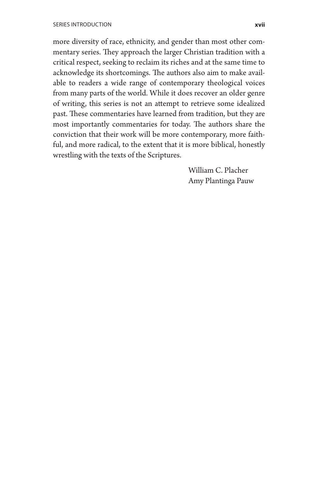more diversity of race, ethnicity, and gender than most other commentary series. They approach the larger Christian tradition with a critical respect, seeking to reclaim its riches and at the same time to acknowledge its shortcomings. The authors also aim to make available to readers a wide range of contemporary theological voices from many parts of the world. While it does recover an older genre of writing, this series is not an attempt to retrieve some idealized past. These commentaries have learned from tradition, but they are most importantly commentaries for today. The authors share the conviction that their work will be more contemporary, more faithful, and more radical, to the extent that it is more biblical, honestly wrestling with the texts of the Scriptures.

> William C. Placher Amy Plantinga Pauw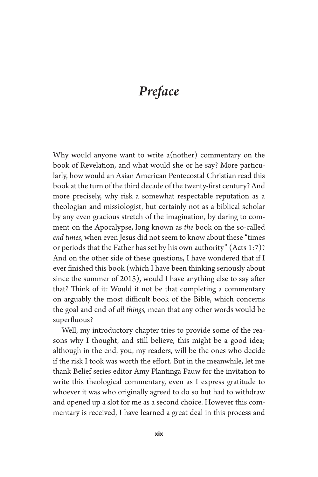## *Preface*

Why would anyone want to write a(nother) commentary on the book of Revelation, and what would she or he say? More particularly, how would an Asian American Pentecostal Christian read this book at the turn of the third decade of the twenty-first century? And more precisely, why risk a somewhat respectable reputation as a theologian and missiologist, but certainly not as a biblical scholar by any even gracious stretch of the imagination, by daring to comment on the Apocalypse, long known as *the* book on the so-called *end times*, when even Jesus did not seem to know about these "times or periods that the Father has set by his own authority" (Acts 1:7)? And on the other side of these questions, I have wondered that if I ever finished this book (which I have been thinking seriously about since the summer of 2015), would I have anything else to say after that? Think of it: Would it not be that completing a commentary on arguably the most difficult book of the Bible, which concerns the goal and end of *all things,* mean that any other words would be superfluous?

Well, my introductory chapter tries to provide some of the reasons why I thought, and still believe, this might be a good idea; although in the end, you, my readers, will be the ones who decide if the risk I took was worth the effort. But in the meanwhile, let me thank Belief series editor Amy Plantinga Pauw for the invitation to write this theological commentary, even as I express gratitude to whoever it was who originally agreed to do so but had to withdraw and opened up a slot for me as a second choice. However this commentary is received, I have learned a great deal in this process and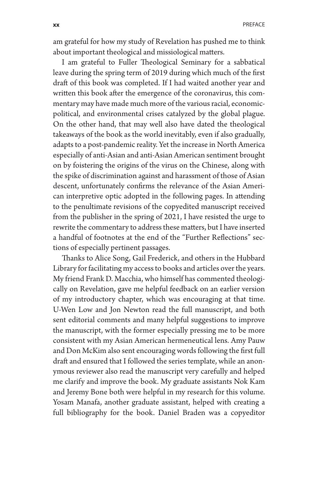am grateful for how my study of Revelation has pushed me to think about important theological and missiological matters.

I am grateful to Fuller Theological Seminary for a sabbatical leave during the spring term of 2019 during which much of the first draft of this book was completed. If I had waited another year and written this book after the emergence of the coronavirus, this commentary may have made much more of the various racial, economicpolitical, and environmental crises catalyzed by the global plague. On the other hand, that may well also have dated the theological takeaways of the book as the world inevitably, even if also gradually, adapts to a post-pandemic reality. Yet the increase in North America especially of anti-Asian and anti-Asian American sentiment brought on by foistering the origins of the virus on the Chinese, along with the spike of discrimination against and harassment of those of Asian descent, unfortunately confirms the relevance of the Asian American interpretive optic adopted in the following pages. In attending to the penultimate revisions of the copyedited manuscript received from the publisher in the spring of 2021, I have resisted the urge to rewrite the commentary to address these matters, but I have inserted a handful of footnotes at the end of the "Further Reflections" sections of especially pertinent passages.

Thanks to Alice Song, Gail Frederick, and others in the Hubbard Library for facilitating my access to books and articles over the years. My friend Frank D. Macchia, who himself has commented theologically on Revelation, gave me helpful feedback on an earlier version of my introductory chapter, which was encouraging at that time. U-Wen Low and Jon Newton read the full manuscript, and both sent editorial comments and many helpful suggestions to improve the manuscript, with the former especially pressing me to be more consistent with my Asian American hermeneutical lens. Amy Pauw and Don McKim also sent encouraging words following the first full draft and ensured that I followed the series template, while an anonymous reviewer also read the manuscript very carefully and helped me clarify and improve the book. My graduate assistants Nok Kam and Jeremy Bone both were helpful in my research for this volume. Yosam Manafa, another graduate assistant, helped with creating a full bibliography for the book. Daniel Braden was a copyeditor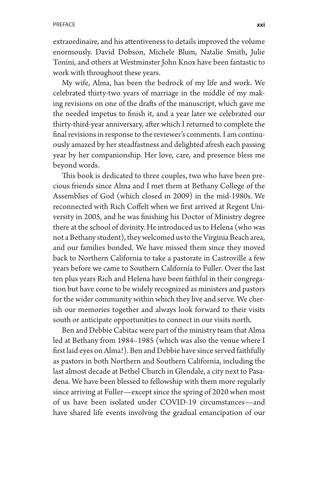extraordinaire, and his attentiveness to details improved the volume enormously. David Dobson, Michele Blum, Natalie Smith, Julie Tonini, and others at Westminster John Knox have been fantastic to work with throughout these years.

My wife, Alma, has been the bedrock of my life and work. We celebrated thirty-two years of marriage in the middle of my making revisions on one of the drafts of the manuscript, which gave me the needed impetus to finish it, and a year later we celebrated our thirty-third-year anniversary, after which I returned to complete the final revisions in response to the reviewer's comments. I am continuously amazed by her steadfastness and delighted afresh each passing year by her companionship. Her love, care, and presence bless me beyond words.

This book is dedicated to three couples, two who have been precious friends since Alma and I met them at Bethany College of the Assemblies of God (which closed in 2009) in the mid-1980s. We reconnected with Rich Coffelt when we first arrived at Regent University in 2005, and he was finishing his Doctor of Ministry degree there at the school of divinity. He introduced us to Helena (who was not a Bethany student), they welcomed us to the Virginia Beach area, and our families bonded. We have missed them since they moved back to Northern California to take a pastorate in Castroville a few years before we came to Southern California to Fuller. Over the last ten plus years Rich and Helena have been faithful in their congregation but have come to be widely recognized as ministers and pastors for the wider community within which they live and serve. We cherish our memories together and always look forward to their visits south or anticipate opportunities to connect in our visits north.

Ben and Debbie Cabitac were part of the ministry team that Alma led at Bethany from 1984–1985 (which was also the venue where I first laid eyes on Alma!). Ben and Debbie have since served faithfully as pastors in both Northern and Southern California, including the last almost decade at Bethel Church in Glendale, a city next to Pasadena. We have been blessed to fellowship with them more regularly since arriving at Fuller—except since the spring of 2020 when most of us have been isolated under COVID-19 circumstances—and have shared life events involving the gradual emancipation of our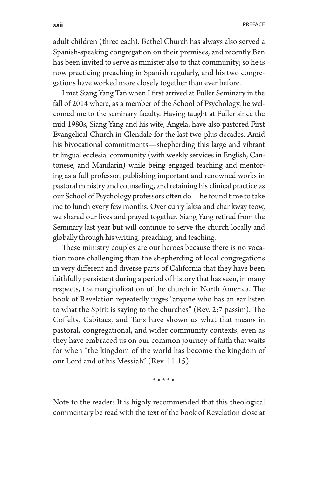adult children (three each). Bethel Church has always also served a Spanish-speaking congregation on their premises, and recently Ben has been invited to serve as minister also to that community; so he is now practicing preaching in Spanish regularly, and his two congregations have worked more closely together than ever before.

I met Siang Yang Tan when I first arrived at Fuller Seminary in the fall of 2014 where, as a member of the School of Psychology, he welcomed me to the seminary faculty. Having taught at Fuller since the mid 1980s, Siang Yang and his wife, Angela, have also pastored First Evangelical Church in Glendale for the last two-plus decades. Amid his bivocational commitments—shepherding this large and vibrant trilingual ecclesial community (with weekly services in English, Cantonese, and Mandarin) while being engaged teaching and mentoring as a full professor, publishing important and renowned works in pastoral ministry and counseling, and retaining his clinical practice as our School of Psychology professors often do—he found time to take me to lunch every few months. Over curry laksa and char kway teow, we shared our lives and prayed together. Siang Yang retired from the Seminary last year but will continue to serve the church locally and globally through his writing, preaching, and teaching.

These ministry couples are our heroes because there is no vocation more challenging than the shepherding of local congregations in very different and diverse parts of California that they have been faithfully persistent during a period of history that has seen, in many respects, the marginalization of the church in North America. The book of Revelation repeatedly urges "anyone who has an ear listen to what the Spirit is saying to the churches" (Rev. 2:7 passim). The Coffelts, Cabitacs, and Tans have shown us what that means in pastoral, congregational, and wider community contexts, even as they have embraced us on our common journey of faith that waits for when "the kingdom of the world has become the kingdom of our Lord and of his Messiah" (Rev. 11:15).

\* \* \* \* \*

Note to the reader: It is highly recommended that this theological commentary be read with the text of the book of Revelation close at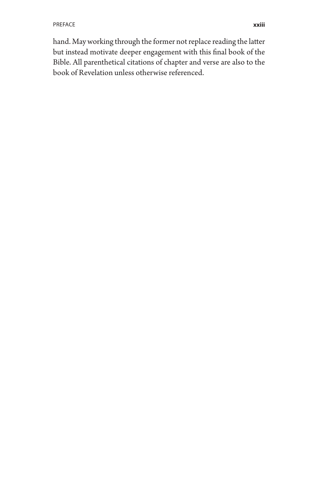hand. May working through the former not replace reading the latter but instead motivate deeper engagement with this final book of the Bible. All parenthetical citations of chapter and verse are also to the book of Revelation unless otherwise referenced.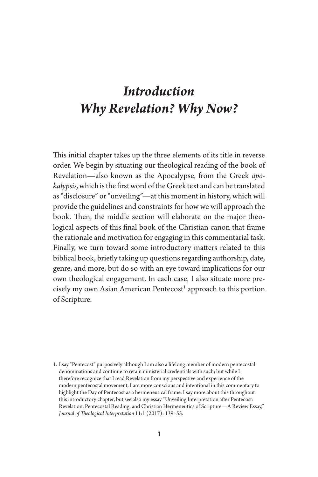# *Introduction Why Revelation? Why Now?*

This initial chapter takes up the three elements of its title in reverse order. We begin by situating our theological reading of the book of Revelation—also known as the Apocalypse, from the Greek *apokalypsis,* which is the first word of the Greek text and can be translated as "disclosure" or "unveiling"—at this moment in history, which will provide the guidelines and constraints for how we will approach the book. Then, the middle section will elaborate on the major theological aspects of this final book of the Christian canon that frame the rationale and motivation for engaging in this commentarial task. Finally, we turn toward some introductory matters related to this biblical book, briefly taking up questions regarding authorship, date, genre, and more, but do so with an eye toward implications for our own theological engagement. In each case, I also situate more precisely my own Asian American Pentecost<sup>1</sup> approach to this portion of Scripture.

<sup>1.</sup> I say "Pentecost" purposively although I am also a lifelong member of modern pentecostal denominations and continue to retain ministerial credentials with such; but while I therefore recognize that I read Revelation from my perspective and experience of the modern pentecostal movement, I am more conscious and intentional in this commentary to highlight the Day of Pentecost as a hermeneutical frame. I say more about this throughout this introductory chapter, but see also my essay "Unveiling Interpretation after Pentecost: Revelation, Pentecostal Reading, and Christian Hermeneutics of Scripture—A Review Essay," *Journal of Theological Interpretation* 11:1 (2017): 139–55.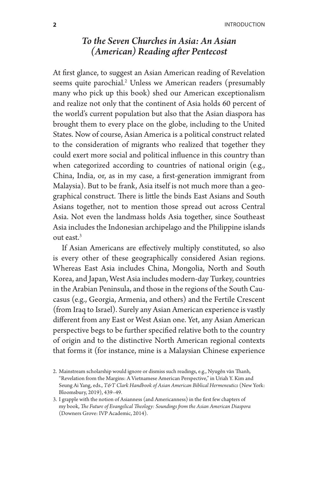### *To the Seven Churches in Asia: An Asian (American) Reading after Pentecost*

At first glance, to suggest an Asian American reading of Revelation seems quite parochial.<sup>2</sup> Unless we American readers (presumably many who pick up this book) shed our American exceptionalism and realize not only that the continent of Asia holds 60 percent of the world's current population but also that the Asian diaspora has brought them to every place on the globe, including to the United States. Now of course, Asian America is a political construct related to the consideration of migrants who realized that together they could exert more social and political influence in this country than when categorized according to countries of national origin (e.g., China, India, or, as in my case, a first-generation immigrant from Malaysia). But to be frank, Asia itself is not much more than a geographical construct. There is little the binds East Asians and South Asians together, not to mention those spread out across Central Asia. Not even the landmass holds Asia together, since Southeast Asia includes the Indonesian archipelago and the Philippine islands out east.<sup>3</sup>

If Asian Americans are effectively multiply constituted, so also is every other of these geographically considered Asian regions. Whereas East Asia includes China, Mongolia, North and South Korea, and Japan, West Asia includes modern-day Turkey, countries in the Arabian Peninsula, and those in the regions of the South Caucasus (e.g., Georgia, Armenia, and others) and the Fertile Crescent (from Iraq to Israel). Surely any Asian American experience is vastly different from any East or West Asian one. Yet, any Asian American perspective begs to be further specified relative both to the country of origin and to the distinctive North American regional contexts that forms it (for instance, mine is a Malaysian Chinese experience

<sup>2.</sup> Mainstream scholarship would ignore or dismiss such readings, e.g., Nyugễn văn Thanh, "Revelation from the Margins: A Vietnamese American Perspective," in Uriah Y. Kim and Seung Ai Yang, eds., *T&T Clark Handbook of Asian American Biblical Hermeneutics* (New York: Bloomsbury, 2019), 439–49.

<sup>3.</sup> I grapple with the notion of Asianness (and Americanness) in the first few chapters of my book, *The Future of Evangelical Theology: Soundings from the Asian American Diaspora* (Downers Grove: IVP Academic, 2014).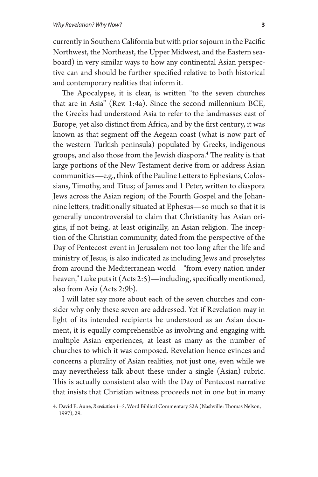currently in Southern California but with prior sojourn in the Pacific Northwest, the Northeast, the Upper Midwest, and the Eastern seaboard) in very similar ways to how any continental Asian perspective can and should be further specified relative to both historical and contemporary realities that inform it.

The Apocalypse, it is clear, is written "to the seven churches that are in Asia" (Rev. 1:4a). Since the second millennium BCE, the Greeks had understood Asia to refer to the landmasses east of Europe, yet also distinct from Africa, and by the first century, it was known as that segment off the Aegean coast (what is now part of the western Turkish peninsula) populated by Greeks, indigenous groups, and also those from the Jewish diaspora.4 The reality is that large portions of the New Testament derive from or address Asian communities—e.g., think of the Pauline Letters to Ephesians, Colossians, Timothy, and Titus; of James and 1 Peter, written to diaspora Jews across the Asian region; of the Fourth Gospel and the Johannine letters, traditionally situated at Ephesus—so much so that it is generally uncontroversial to claim that Christianity has Asian origins, if not being, at least originally, an Asian religion. The inception of the Christian community, dated from the perspective of the Day of Pentecost event in Jerusalem not too long after the life and ministry of Jesus, is also indicated as including Jews and proselytes from around the Mediterranean world—"from every nation under heaven," Luke puts it (Acts 2:5)—including, specifically mentioned, also from Asia (Acts 2:9b).

I will later say more about each of the seven churches and consider why only these seven are addressed. Yet if Revelation may in light of its intended recipients be understood as an Asian document, it is equally comprehensible as involving and engaging with multiple Asian experiences, at least as many as the number of churches to which it was composed. Revelation hence evinces and concerns a plurality of Asian realities, not just one, even while we may nevertheless talk about these under a single (Asian) rubric. This is actually consistent also with the Day of Pentecost narrative that insists that Christian witness proceeds not in one but in many

<sup>4.</sup> David E. Aune, *Revelation 1–5*, Word Biblical Commentary 52A (Nashville: Thomas Nelson, 1997), 29.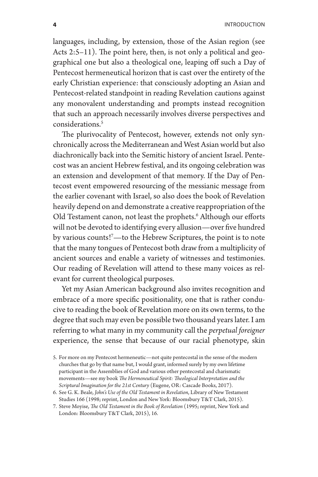**4** INTRODUCTION

languages, including, by extension, those of the Asian region (see Acts 2:5–11). The point here, then, is not only a political and geographical one but also a theological one, leaping off such a Day of Pentecost hermeneutical horizon that is cast over the entirety of the early Christian experience: that consciously adopting an Asian and Pentecost-related standpoint in reading Revelation cautions against any monovalent understanding and prompts instead recognition that such an approach necessarily involves diverse perspectives and considerations.<sup>5</sup>

The plurivocality of Pentecost, however, extends not only synchronically across the Mediterranean and West Asian world but also diachronically back into the Semitic history of ancient Israel. Pentecost was an ancient Hebrew festival, and its ongoing celebration was an extension and development of that memory. If the Day of Pentecost event empowered resourcing of the messianic message from the earlier covenant with Israel, so also does the book of Revelation heavily depend on and demonstrate a creative reappropriation of the Old Testament canon, not least the prophets.<sup>6</sup> Although our efforts will not be devoted to identifying every allusion—over five hundred by various counts!7 —to the Hebrew Scriptures, the point is to note that the many tongues of Pentecost both draw from a multiplicity of ancient sources and enable a variety of witnesses and testimonies. Our reading of Revelation will attend to these many voices as relevant for current theological purposes.

Yet my Asian American background also invites recognition and embrace of a more specific positionality, one that is rather conducive to reading the book of Revelation more on its own terms, to the degree that such may even be possible two thousand years later. I am referring to what many in my community call the *perpetual foreigner* experience, the sense that because of our racial phenotype, skin

<sup>5.</sup> For more on my Pentecost hermeneutic—not quite pentecostal in the sense of the modern churches that go by that name but, I would grant, informed surely by my own lifetime participant in the Assemblies of God and various other pentecostal and charismatic movements—see my book *The Hermeneutical Spirit: Theological Interpretation and the Scriptural Imagination for the 21st Century* (Eugene, OR: Cascade Books, 2017).

<sup>6.</sup> See G. K. Beale, *John's Use of the Old Testament in Revelation*, Library of New Testament Studies 166 (1998; reprint, London and New York: Bloomsbury T&T Clark, 2015).

<sup>7.</sup> Steve Moyise, *The Old Testament in the Book of Revelation* (1995; reprint, New York and London: Bloomsbury T&T Clark, 2015), 16.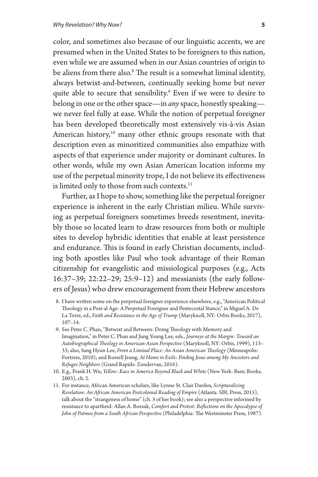color, and sometimes also because of our linguistic accents, we are presumed when in the United States to be foreigners to this nation, even while we are assumed when in our Asian countries of origin to be aliens from there also.8 The result is a somewhat liminal identity, always betwixt-and-between, continually seeking home but never quite able to secure that sensibility.<sup>9</sup> Even if we were to desire to belong in one or the other space—in *any* space, honestly speaking we never feel fully at ease. While the notion of perpetual foreigner has been developed theoretically most extensively vis-à-vis Asian American history,<sup>10</sup> many other ethnic groups resonate with that description even as minoritized communities also empathize with aspects of that experience under majority or dominant cultures. In other words, while my own Asian American location informs my use of the perpetual minority trope, I do not believe its effectiveness is limited only to those from such contexts.<sup>11</sup>

Further, as I hope to show, something like the perpetual foreigner experience is inherent in the early Christian milieu. While surviving as perpetual foreigners sometimes breeds resentment, inevitably those so located learn to draw resources from both or multiple sites to develop hybridic identities that enable at least persistence and endurance. This is found in early Christian documents, including both apostles like Paul who took advantage of their Roman citizenship for evangelistic and missiological purposes (e.g., Acts 16:37–39; 22:22–29; 25:9–12) and messianists (the early followers of Jesus) who drew encouragement from their Hebrew ancestors

- 8. I have written some on the perpetual foreigner experience elsewhere, e.g., "American Political Theology in a Post-al Age: A Perpetual Foreigner and Pentecostal Stance," in Miguel A. De La Torre, ed., *Faith and Resistance in the Age of Trump* (Maryknoll, NY: Orbis Books, 2017), 107–14.
- 9. See Peter C. Phan, "Betwixt and Between: Doing Theology with Memory and Imagination," in Peter C. Phan and Jung Young Lee, eds., *Journeys at the Margin: Toward an Autobiographical Theology in American-Asian Perspective* (Maryknoll, NY: Orbis, 1999), 113– 33; also, Sang Hyun Lee, *From a Liminal Place: An Asian American Theology* (Minneapolis: Fortress, 2010); and Russell Jeung, *At Home in Exile: Finding Jesus among My Ancestors and Refugee Neighbors* (Grand Rapids: Zondervan, 2016).
- 10. E.g., Frank H. Wu, *Yellow: Race in America Beyond Black and White* (New York: Basic Books, 2003), ch. 2.
- 11. For instance, African American scholars, like Lynne St. Clair Darden, *Scripturalizing Revelation: An African American Postcolonial Reading of Empire* (Atlanta: SBL Press, 2015), talk about the "strangeness of home" (ch. 3 of her book); see also a perspective informed by resistance to apartheid: Allan A. Boesak, *Comfort and Protest: Reflections on the Apocalypse of John of Patmos from a South African Perspective* (Philadelphia: The Westminster Press, 1987).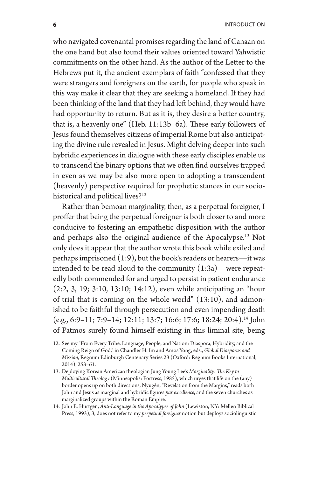**6** INTRODUCTION

who navigated covenantal promises regarding the land of Canaan on the one hand but also found their values oriented toward Yahwistic commitments on the other hand. As the author of the Letter to the Hebrews put it, the ancient exemplars of faith "confessed that they were strangers and foreigners on the earth, for people who speak in this way make it clear that they are seeking a homeland. If they had been thinking of the land that they had left behind, they would have had opportunity to return. But as it is, they desire a better country, that is, a heavenly one" (Heb. 11:13b–6a). These early followers of Jesus found themselves citizens of imperial Rome but also anticipating the divine rule revealed in Jesus. Might delving deeper into such hybridic experiences in dialogue with these early disciples enable us to transcend the binary options that we often find ourselves trapped in even as we may be also more open to adopting a transcendent (heavenly) perspective required for prophetic stances in our sociohistorical and political lives?<sup>12</sup>

Rather than bemoan marginality, then, as a perpetual foreigner, I proffer that being the perpetual foreigner is both closer to and more conducive to fostering an empathetic disposition with the author and perhaps also the original audience of the Apocalypse.<sup>13</sup> Not only does it appear that the author wrote this book while exiled and perhaps imprisoned (1:9), but the book's readers or hearers—it was intended to be read aloud to the community (1:3a)—were repeatedly both commended for and urged to persist in patient endurance (2:2, 3, 19; 3:10, 13:10; 14:12), even while anticipating an "hour of trial that is coming on the whole world" (13:10), and admonished to be faithful through persecution and even impending death (e.g., 6:9–11; 7:9–14; 12:11; 13:7; 16:6; 17:6; 18:24; 20:4).14 John of Patmos surely found himself existing in this liminal site, being

- 12. See my "From Every Tribe, Language, People, and Nation: Diaspora, Hybridity, and the Coming Reign of God," in Chandler H. Im and Amos Yong, eds., *Global Diasporas and Mission*, Regnum Edinburgh Centenary Series 23 (Oxford: Regnum Books International, 2014), 253–61.
- 13. Deploying Korean American theologian Jung Young Lee's *Marginality: The Key to Multicultural Theology* (Minneapolis: Fortress, 1985), which urges that life on the (any) border opens up on both directions, Nyugễn, "Revelation from the Margins," reads both John and Jesus as marginal and hybridic figures *par excellence*, and the seven churches as marginalized groups within the Roman Empire.
- 14. John E. Hurtgen, *Anti-Language in the Apocalypse of John* (Lewiston, NY: Mellen Biblical Press, 1993), 3, does not refer to my *perpetual foreigner* notion but deploys sociolinguistic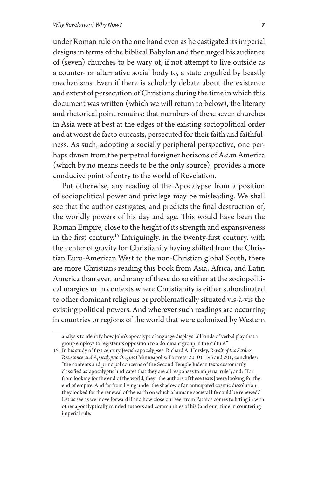under Roman rule on the one hand even as he castigated its imperial designs in terms of the biblical Babylon and then urged his audience of (seven) churches to be wary of, if not attempt to live outside as a counter- or alternative social body to, a state engulfed by beastly mechanisms. Even if there is scholarly debate about the existence and extent of persecution of Christians during the time in which this document was written (which we will return to below), the literary and rhetorical point remains: that members of these seven churches in Asia were at best at the edges of the existing sociopolitical order and at worst de facto outcasts, persecuted for their faith and faithfulness. As such, adopting a socially peripheral perspective, one perhaps drawn from the perpetual foreigner horizons of Asian America (which by no means needs to be the only source), provides a more conducive point of entry to the world of Revelation.

Put otherwise, any reading of the Apocalypse from a position of sociopolitical power and privilege may be misleading. We shall see that the author castigates, and predicts the final destruction of, the worldly powers of his day and age. This would have been the Roman Empire, close to the height of its strength and expansiveness in the first century.15 Intriguingly, in the twenty-first century, with the center of gravity for Christianity having shifted from the Christian Euro-American West to the non-Christian global South, there are more Christians reading this book from Asia, Africa, and Latin America than ever, and many of these do so either at the sociopolitical margins or in contexts where Christianity is either subordinated to other dominant religions or problematically situated vis-à-vis the existing political powers. And wherever such readings are occurring in countries or regions of the world that were colonized by Western

analysis to identify how John's apocalyptic language displays "all kinds of verbal play that a group employs to register its opposition to a dominant group in the culture."

<sup>15.</sup> In his study of first century Jewish apocalypses, Richard A. Horsley, *Revolt of the Scribes: Resistance and Apocalyptic Origins* (Minneapolis: Fortress, 2010), 193 and 201, concludes: "the contents and principal concerns of the Second Temple Judean texts customarily classified as 'apocalyptic' indicates that they are all responses to imperial rule"; and: "Far from looking for the end of the world, they [the authors of these texts] were looking for the end of empire. And far from living under the shadow of an anticipated cosmic dissolution, they looked for the renewal of the earth on which a humane societal life could be renewed." Let us see as we move forward if and how close our seer from Patmos comes to fitting in with other apocalyptically minded authors and communities of his (and our) time in countering imperial rule.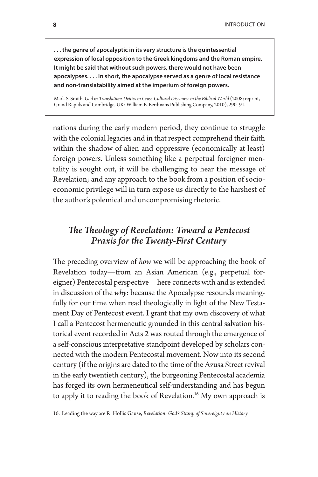**. . . the genre of apocalyptic in its very structure is the quintessential expression of local opposition to the Greek kingdoms and the Roman empire. It might be said that without such powers, there would not have been apocalypses. . . . In short, the apocalypse served as a genre of local resistance and non-translatability aimed at the imperium of foreign powers.**

Mark S. Smith, *God in Translation: Deities in Cross-Cultural Discourse in the Biblical World* (2008; reprint, Grand Rapids and Cambridge, UK: William B. Eerdmans Publishing Company, 2010), 290–91.

nations during the early modern period, they continue to struggle with the colonial legacies and in that respect comprehend their faith within the shadow of alien and oppressive (economically at least) foreign powers. Unless something like a perpetual foreigner mentality is sought out, it will be challenging to hear the message of Revelation; and any approach to the book from a position of socioeconomic privilege will in turn expose us directly to the harshest of the author's polemical and uncompromising rhetoric.

#### *The Theology of Revelation: Toward a Pentecost Praxis for the Twenty-First Century*

The preceding overview of *how* we will be approaching the book of Revelation today—from an Asian American (e.g., perpetual foreigner) Pentecostal perspective—here connects with and is extended in discussion of the *why*: because the Apocalypse resounds meaningfully for our time when read theologically in light of the New Testament Day of Pentecost event. I grant that my own discovery of what I call a Pentecost hermeneutic grounded in this central salvation historical event recorded in Acts 2 was routed through the emergence of a self-conscious interpretative standpoint developed by scholars connected with the modern Pentecostal movement. Now into its second century (if the origins are dated to the time of the Azusa Street revival in the early twentieth century), the burgeoning Pentecostal academia has forged its own hermeneutical self-understanding and has begun to apply it to reading the book of Revelation.<sup>16</sup> My own approach is

16. Leading the way are R. Hollis Gause, *Revelation: God's Stamp of Sovereignty on History*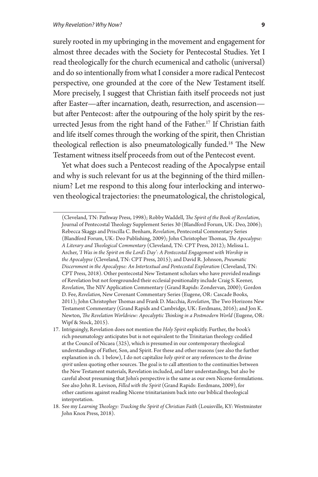surely rooted in my upbringing in the movement and engagement for almost three decades with the Society for Pentecostal Studies. Yet I read theologically for the church ecumenical and catholic (universal) and do so intentionally from what I consider a more radical Pentecost perspective, one grounded at the core of the New Testament itself. More precisely, I suggest that Christian faith itself proceeds not just after Easter—after incarnation, death, resurrection, and ascension but after Pentecost: after the outpouring of the holy spirit by the resurrected Jesus from the right hand of the Father.<sup>17</sup> If Christian faith and life itself comes through the working of the spirit, then Christian theological reflection is also pneumatologically funded.<sup>18</sup> The New Testament witness itself proceeds from out of the Pentecost event.

Yet what does such a Pentecost reading of the Apocalypse entail and why is such relevant for us at the beginning of the third millennium? Let me respond to this along four interlocking and interwoven theological trajectories: the pneumatological, the christological,

<sup>(</sup>Cleveland, TN: Pathway Press, 1998); Robby Waddell, *The Spirit of the Book of Revelation*, Journal of Pentecostal Theology Supplement Series 30 (Blandford Forum, UK: Deo, 2006); Rebecca Skaggs and Priscilla C. Benham, *Revelation*, Pentecostal Commentary Series (Blandford Forum, UK: Deo Publishing, 2009); John Christopher Thomas, *The Apocalypse: A Literary and Theological Commentary* (Cleveland, TN: CPT Press, 2012); Melissa L. Archer, *'I Was in the Spirit on the Lord's Day': A Pentecostal Engagement with Worship in the Apocalypse* (Cleveland, TN: CPT Press, 2015); and David R. Johnson, *Pneumatic Discernment in the Apocalypse: An Intertextual and Pentecostal Exploration* (Cleveland, TN: CPT Press, 2018). Other pentecostal New Testament scholars who have provided readings of Revelation but not foregrounded their ecclesial positionality include Craig S. Keener, *Revelation*, The NIV Application Commentary (Grand Rapids: Zondervan, 2000); Gordon D. Fee, *Revelation*, New Covenant Commentary Series (Eugene, OR: Cascade Books, 2011); John Christopher Thomas and Frank D. Macchia, *Revelation*, The Two Horizons New Testament Commentary (Grand Rapids and Cambridge, UK: Eerdmans, 2016); and Jon K. Newton, *The Revelation Worldview: Apocalyptic Thinking in a Postmodern World* (Eugene, OR: Wipf & Stock, 2015).

<sup>17.</sup> Intriguingly, Revelation does not mention the *Holy Spirit* explicitly. Further, the book's rich pneumatology anticipates but is not equivalent to the Trinitarian theology codified at the Council of Nicaea (325), which is presumed in our contemporary theological understandings of Father, Son, and Spirit. For these and other reasons (see also the further explanation in ch. 1 below), I do not capitalize *holy spirit* or any references to the divine *spirit* unless quoting other sources. The goal is to call attention to the continuities between the New Testament materials, Revelation included, and later understandings, but also be careful about presuming that John's perspective is the same as our own Nicene-formulations. See also John R. Levison, *Filled with the Spirit* (Grand Rapids: Eerdmans, 2009), for other cautions against reading Nicene trinitarianism back into our biblical theological interpretation.

<sup>18.</sup> See my *Learning Theology: Tracking the Spirit of Christian Faith* (Louisville, KY: Westminster John Knox Press, 2018).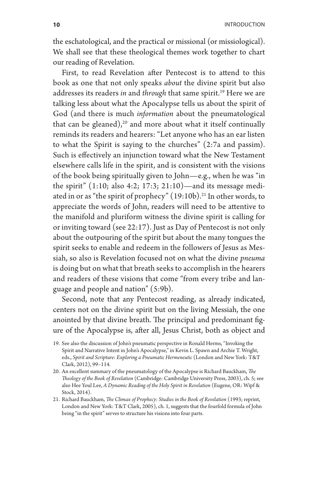**10** INTRODUCTION

the eschatological, and the practical or missional (or missiological). We shall see that these theological themes work together to chart our reading of Revelation.

First, to read Revelation after Pentecost is to attend to this book as one that not only speaks *about* the divine spirit but also addresses its readers *in* and *through* that same spirit.<sup>19</sup> Here we are talking less about what the Apocalypse tells us about the spirit of God (and there is much *information* about the pneumatological that can be gleaned), $20$  and more about what it itself continually reminds its readers and hearers: "Let anyone who has an ear listen to what the Spirit is saying to the churches" (2:7a and passim). Such is effectively an injunction toward what the New Testament elsewhere calls life in the spirit, and is consistent with the visions of the book being spiritually given to John—e.g., when he was "in the spirit"  $(1:10;$  also 4:2; 17:3; 21:10)—and its message mediated in or as "the spirit of prophecy"  $(19:10b)$ .<sup>21</sup> In other words, to appreciate the words of John, readers will need to be attentive to the manifold and pluriform witness the divine spirit is calling for or inviting toward (see 22:17). Just as Day of Pentecost is not only about the outpouring of the spirit but about the many tongues the spirit seeks to enable and redeem in the followers of Jesus as Messiah, so also is Revelation focused not on what the divine *pneuma* is doing but on what that breath seeks to accomplish in the hearers and readers of these visions that come "from every tribe and language and people and nation" (5:9b).

Second, note that any Pentecost reading, as already indicated, centers not on the divine spirit but on the living Messiah, the one anointed by that divine breath. The principal and predominant figure of the Apocalypse is, after all, Jesus Christ, both as object and

<sup>19.</sup> See also the discussion of John's pneumatic perspective in Ronald Herms, "Invoking the Spirit and Narrative Intent in John's Apocalypse," in Kevin L. Spawn and Archie T. Wright, eds., *Spirit and Scripture: Exploring a Pneumatic Hermeneutic* (London and New York: T&T Clark, 2012), 99–114.

<sup>20.</sup> An excellent summary of the pneumatology of the Apocalypse is Richard Bauckham, *The Theology of the Book of Revelation* (Cambridge: Cambridge University Press, 2003), ch. 5; see also Hee Youl Lee, *A Dynamic Reading of the Holy Spirit in Revelation* (Eugene, OR: Wipf & Stock, 2014).

<sup>21.</sup> Richard Bauckham, *The Climax of Prophecy: Studies in the Book of Revelation* (1993; reprint, London and New York: T&T Clark, 2005), ch. 1, suggests that the fourfold formula of John being "in the spirit" serves to structure his visions into four parts.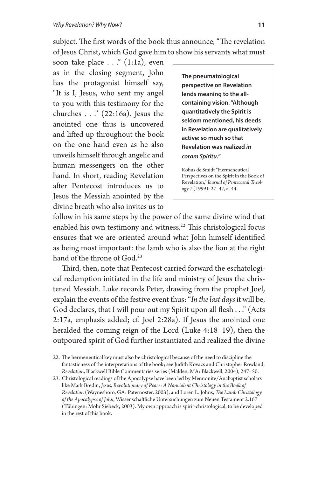subject. The first words of the book thus announce, "The revelation of Jesus Christ, which God gave him to show his servants what must

soon take place  $\ldots$  " (1:1a), even as in the closing segment, John has the protagonist himself say, "It is I, Jesus, who sent my angel to you with this testimony for the churches . . ." (22:16a). Jesus the anointed one thus is uncovered and lifted up throughout the book on the one hand even as he also unveils himself through angelic and human messengers on the other hand. In short, reading Revelation after Pentecost introduces us to Jesus the Messiah anointed by the divine breath who also invites us to

**The pneumatological perspective on Revelation lends meaning to the allcontaining vision. "Although quantitatively the Spirit is seldom mentioned, his deeds in Revelation are qualitatively active: so much so that Revelation was realized** *in coram Spiritu.***"**

Kobus de Smidt "Hermeneutical Perspectives on the Spirit in the Book of Revelation," *Journal of Pentecostal Theology* 7 (1999): 27–47, at 44.

follow in his same steps by the power of the same divine wind that enabled his own testimony and witness.<sup>22</sup> This christological focus ensures that we are oriented around what John himself identified as being most important: the lamb who is also the lion at the right hand of the throne of God.<sup>23</sup>

Third, then, note that Pentecost carried forward the eschatological redemption initiated in the life and ministry of Jesus the christened Messiah. Luke records Peter, drawing from the prophet Joel, explain the events of the festive event thus: "*In the last days* it will be, God declares, that I will pour out my Spirit upon all flesh . . ." (Acts 2:17a, emphasis added; cf. Joel 2:28a). If Jesus the anointed one heralded the coming reign of the Lord (Luke 4:18–19), then the outpoured spirit of God further instantiated and realized the divine

<sup>22.</sup> The hermeneutical key must also be christological because of the need to discipline the fantasticness of the interpretations of the book; see Judith Kovacs and Christopher Rowland, *Revelation*, Blackwell Bible Commentaries series (Malden, MA: Blackwell, 2004), 247–50.

<sup>23.</sup> Christological readings of the Apocalypse have been led by Mennonite/Anabaptist scholars like Mark Bredin, *Jesus, Revolutionary of Peace: A Nonviolent Christology in the Book of Revelation* (Waynesboro, GA: Paternoster, 2003), and Loren L. Johns, *The Lamb Christology of the Apocalypse of John*, Wissenschaftliche Untersuchungen zum Neuen Testament 2.167 (Tübingen: Mohr Siebeck, 2003). My own approach is spirit-christological, to be developed in the rest of this book.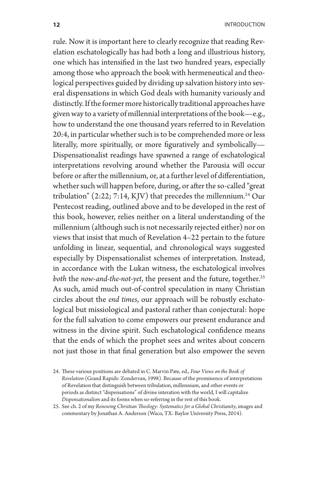rule. Now it is important here to clearly recognize that reading Revelation eschatologically has had both a long and illustrious history, one which has intensified in the last two hundred years, especially among those who approach the book with hermeneutical and theological perspectives guided by dividing up salvation history into several dispensations in which God deals with humanity variously and distinctly. If the former more historically traditional approaches have given way to a variety of millennial interpretations of the book—e.g., how to understand the one thousand years referred to in Revelation 20:4, in particular whether such is to be comprehended more or less literally, more spiritually, or more figuratively and symbolically— Dispensationalist readings have spawned a range of eschatological interpretations revolving around whether the Parousia will occur before or after the millennium, or, at a further level of differentiation, whether such will happen before, during, or after the so-called "great tribulation"  $(2:22; 7:14, KJV)$  that precedes the millennium.<sup>24</sup> Our Pentecost reading, outlined above and to be developed in the rest of this book, however, relies neither on a literal understanding of the millennium (although such is not necessarily rejected either) nor on views that insist that much of Revelation 4–22 pertain to the future unfolding in linear, sequential, and chronological ways suggested especially by Dispensationalist schemes of interpretation. Instead, in accordance with the Lukan witness, the eschatological involves *both* the *now-and-the-not-yet*, the present and the future, together.<sup>25</sup> As such, amid much out-of-control speculation in many Christian circles about the *end times*, our approach will be robustly eschatological but missiological and pastoral rather than conjectural: hope for the full salvation to come empowers our present endurance and witness in the divine spirit. Such eschatological confidence means that the ends of which the prophet sees and writes about concern not just those in that final generation but also empower the seven

<sup>24.</sup> These various positions are debated in C. Marvin Pate, ed., *Four Views on the Book of Revelation* (Grand Rapids: Zondervan, 1998). Because of the prominence of interpretations of Revelation that distinguish between tribulation, millennium, and other events or periods as distinct "dispensations" of divine interation with the world, I will capitalize *Dispensationalism* and its forms when so-referring in the rest of this book.

<sup>25.</sup> See ch. 2 of my *Renewing Christian Theology: Systematics for a Global Christianity*, images and commentary by Jonathan A. Anderson (Waco, TX: Baylor University Press, 2014).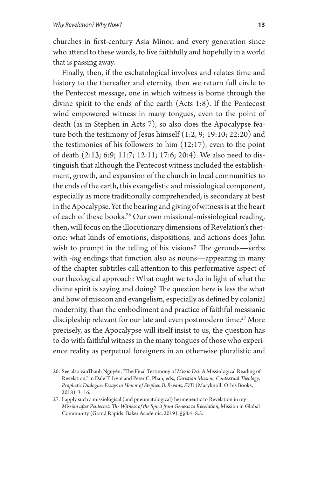churches in first-century Asia Minor, and every generation since who attend to these words, to live faithfully and hopefully in a world that is passing away.

Finally, then, if the eschatological involves and relates time and history to the thereafter and eternity, then we return full circle to the Pentecost message, one in which witness is borne through the divine spirit to the ends of the earth (Acts 1:8). If the Pentecost wind empowered witness in many tongues, even to the point of death (as in Stephen in Acts 7), so also does the Apocalypse feature both the testimony of Jesus himself (1:2, 9; 19:10; 22:20) and the testimonies of his followers to him (12:17), even to the point of death (2:13; 6:9; 11:7; 12:11; 17:6; 20:4). We also need to distinguish that although the Pentecost witness included the establishment, growth, and expansion of the church in local communities to the ends of the earth, this evangelistic and missiological component, especially as more traditionally comprehended, is secondary at best in the Apocalypse. Yet the bearing and giving of witness is at the heart of each of these books.26 Our own missional-missiological reading, then, will focus on the illocutionary dimensions of Revelation's rhetoric: what kinds of emotions, dispositions, and actions does John wish to prompt in the telling of his visions? The gerunds—verbs with -*ing* endings that function also as nouns—appearing in many of the chapter subtitles call attention to this performative aspect of our theological approach: What ought we to do in light of what the divine spirit is saying and doing? The question here is less the what and how of mission and evangelism, especially as defined by colonial modernity, than the embodiment and practice of faithful messianic discipleship relevant for our late and even postmodern time.<sup>27</sup> More precisely, as the Apocalypse will itself insist to us, the question has to do with faithful witness in the many tongues of those who experience reality as perpetual foreigners in an otherwise pluralistic and

<sup>26.</sup> See also vănThanh Nguyễn, "The Final Testimony of *Missio Dei*: A Missiological Reading of Revelation," in Dale T. Irvin and Peter C. Phan, eds., *Christian Mission, Contextual Theology, Prophetic Dialogue: Essays in Honor of Stephen B. Bevans, SVD* (Maryknoll: Orbis Books, 2018), 3–16.

<sup>27.</sup> I apply such a missiological (and pneumatological) hermeneutic to Revelation in my *Mission after Pentecost: The Witness of the Spirit from Genesis to Revelation*, Mission in Global Community (Grand Rapids: Baker Academic, 2019), §§8.4–8.5.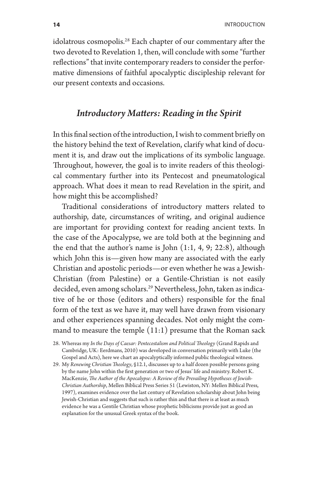idolatrous cosmopolis.<sup>28</sup> Each chapter of our commentary after the two devoted to Revelation 1, then, will conclude with some "further reflections" that invite contemporary readers to consider the performative dimensions of faithful apocalyptic discipleship relevant for our present contexts and occasions.

#### *Introductory Matters: Reading in the Spirit*

In this final section of the introduction, I wish to comment briefly on the history behind the text of Revelation, clarify what kind of document it is, and draw out the implications of its symbolic language. Throughout, however, the goal is to invite readers of this theological commentary further into its Pentecost and pneumatological approach. What does it mean to read Revelation in the spirit, and how might this be accomplished?

Traditional considerations of introductory matters related to authorship, date, circumstances of writing, and original audience are important for providing context for reading ancient texts. In the case of the Apocalypse, we are told both at the beginning and the end that the author's name is John  $(1:1, 4, 9; 22:8)$ , although which John this is—given how many are associated with the early Christian and apostolic periods—or even whether he was a Jewish-Christian (from Palestine) or a Gentile-Christian is not easily decided, even among scholars.29 Nevertheless, John, taken as indicative of he or those (editors and others) responsible for the final form of the text as we have it, may well have drawn from visionary and other experiences spanning decades. Not only might the command to measure the temple (11:1) presume that the Roman sack

- 28. Whereas my *In the Days of Caesar: Pentecostalism and Political Theology* (Grand Rapids and Cambridge, UK: Eerdmans, 2010) was developed in conversation primarily with Luke (the Gospel and Acts), here we chart an apocalyptically informed public theological witness.
- 29. My *Renewing Christian Theology*, §12.1, discusses up to a half dozen possible persons going by the name John within the first generation or two of Jesus' life and ministry. Robert K. MacKenzie, *The Author of the Apocalypse: A Review of the Prevailing Hypotheses of Jewish-Christian Authorship*, Mellen Biblical Press Series 51 (Lewiston, NY: Mellen Biblical Press, 1997), examines evidence over the last century of Revelation scholarship about John being Jewish-Christian and suggests that such is rather thin and that there is at least as much evidence he was a Gentile Christian whose prophetic biblicisms provide just as good an explanation for the unusual Greek syntax of the book.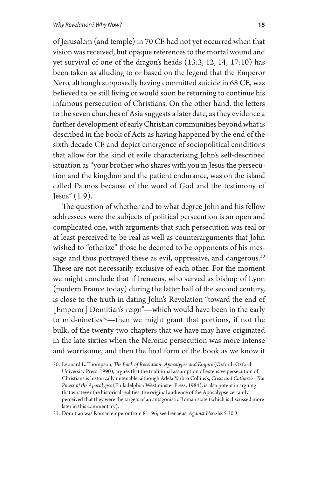of Jerusalem (and temple) in 70 CE had not yet occurred when that vision was received, but opaque references to the mortal wound and yet survival of one of the dragon's heads (13:3, 12, 14; 17:10) has been taken as alluding to or based on the legend that the Emperor Nero, although supposedly having committed suicide in 68 CE, was believed to be still living or would soon be returning to continue his infamous persecution of Christians. On the other hand, the letters to the seven churches of Asia suggests a later date, as they evidence a further development of early Christian communities beyond what is described in the book of Acts as having happened by the end of the sixth decade CE and depict emergence of sociopolitical conditions that allow for the kind of exile characterizing John's self-described situation as "your brother who shares with you in Jesus the persecution and the kingdom and the patient endurance, was on the island called Patmos because of the word of God and the testimony of Jesus" (1:9).

The question of whether and to what degree John and his fellow addressees were the subjects of political persecution is an open and complicated one, with arguments that such persecution was real or at least perceived to be real as well as counterarguments that John wished to "otherize" those he deemed to be opponents of his message and thus portrayed these as evil, oppressive, and dangerous.<sup>30</sup> These are not necessarily exclusive of each other. For the moment we might conclude that if Irenaeus, who served as bishop of Lyon (modern France today) during the latter half of the second century, is close to the truth in dating John's Revelation "toward the end of [Emperor] Domitian's reign"--which would have been in the early to mid-nineties<sup>31</sup>—then we might grant that portions, if not the bulk, of the twenty-two chapters that we have may have originated in the late sixties when the Neronic persecution was more intense and worrisome, and then the final form of the book as we know it

<sup>30.</sup> Leonard L. Thompson, *The Book of Revelation: Apocalypse and Empire* (Oxford: Oxford University Press, 1990), argues that the traditional assumption of extensive persecution of Christians is historically untenable, although Adela Yarbro Collins's, *Crisis and Catharsis: The Power of the Apocalypse* (Philadelphia: Westminster Press, 1984), is also potent in arguing that whatever the historical realities, the original audience of the Apocalypse certainly perceived that they were the targets of an antagonistic Roman state (which is discussed more later in this commentary).

<sup>31.</sup> Domitian was Roman emperor from 81–96; see Irenaeus, *Against Heresies* 5.30.3.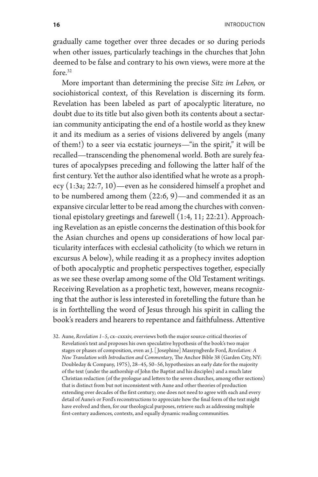**16** INTRODUCTION

gradually came together over three decades or so during periods when other issues, particularly teachings in the churches that John deemed to be false and contrary to his own views, were more at the fore.32

More important than determining the precise *Sitz im Leben,* or sociohistorical context, of this Revelation is discerning its form. Revelation has been labeled as part of apocalyptic literature, no doubt due to its title but also given both its contents about a sectarian community anticipating the end of a hostile world as they knew it and its medium as a series of visions delivered by angels (many of them!) to a seer via ecstatic journeys—"in the spirit," it will be recalled—transcending the phenomenal world. Both are surely features of apocalypses preceding and following the latter half of the first century. Yet the author also identified what he wrote as a prophecy (1:3a; 22:7, 10)—even as he considered himself a prophet and to be numbered among them  $(22:6, 9)$ —and commended it as an expansive circular letter to be read among the churches with conventional epistolary greetings and farewell (1:4, 11; 22:21). Approaching Revelation as an epistle concerns the destination of this book for the Asian churches and opens up considerations of how local particularity interfaces with ecclesial catholicity (to which we return in excursus A below), while reading it as a prophecy invites adoption of both apocalyptic and prophetic perspectives together, especially as we see these overlap among some of the Old Testament writings. Receiving Revelation as a prophetic text, however, means recognizing that the author is less interested in foretelling the future than he is in forthtelling the word of Jesus through his spirit in calling the book's readers and hearers to repentance and faithfulness. Attentive

32. Aune, *Revelation 1–5*, cx–cxxxiv, overviews both the major source-critical theories of Revelation's text and proposes his own speculative hypothesis of the book's two major stages or phases of composition, even as J. [ Josephine] Massyngberde Ford, *Revelation: A New Translation with Introduction and Commentary*, The Anchor Bible 38 (Garden City, NY: Doubleday & Company, 1975), 28–45, 50–56, hypothesizes an early date for the majority of the text (under the authorship of John the Baptist and his disciples) and a much later Christian redaction (of the prologue and letters to the seven churches, among other sections) that is distinct from but not inconsistent with Aune and other theories of production extending over decades of the first century; one does not need to agree with each and every detail of Aune's or Ford's reconstructions to appreciate how the final form of the text might have evolved and then, for our theological purposes, retrieve such as addressing multiple first-century audiences, contexts, and equally dynamic reading communities.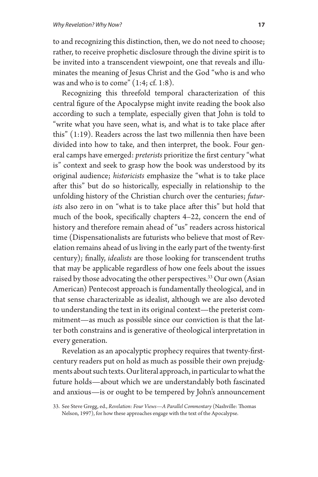to and recognizing this distinction, then, we do not need to choose; rather, to receive prophetic disclosure through the divine spirit is to be invited into a transcendent viewpoint, one that reveals and illuminates the meaning of Jesus Christ and the God "who is and who was and who is to come" (1:4; cf. 1:8).

Recognizing this threefold temporal characterization of this central figure of the Apocalypse might invite reading the book also according to such a template, especially given that John is told to "write what you have seen, what is, and what is to take place after this" (1:19). Readers across the last two millennia then have been divided into how to take, and then interpret, the book. Four general camps have emerged: *preterists* prioritize the first century "what is" context and seek to grasp how the book was understood by its original audience; *historicists* emphasize the "what is to take place after this" but do so historically, especially in relationship to the unfolding history of the Christian church over the centuries; *futurists* also zero in on "what is to take place after this" but hold that much of the book, specifically chapters 4–22, concern the end of history and therefore remain ahead of "us" readers across historical time (Dispensationalists are futurists who believe that most of Revelation remains ahead of us living in the early part of the twenty-first century); finally, *idealists* are those looking for transcendent truths that may be applicable regardless of how one feels about the issues raised by those advocating the other perspectives.<sup>33</sup> Our own (Asian American) Pentecost approach is fundamentally theological, and in that sense characterizable as idealist, although we are also devoted to understanding the text in its original context—the preterist commitment—as much as possible since our conviction is that the latter both constrains and is generative of theological interpretation in every generation.

Revelation as an apocalyptic prophecy requires that twenty-firstcentury readers put on hold as much as possible their own prejudgments about such texts. Our literal approach, in particular to what the future holds—about which we are understandably both fascinated and anxious—is or ought to be tempered by John's announcement

<sup>33.</sup> See Steve Gregg, ed., *Revelation: Four Views—A Parallel Commentary* (Nashville: Thomas Nelson, 1997), for how these approaches engage with the text of the Apocalypse.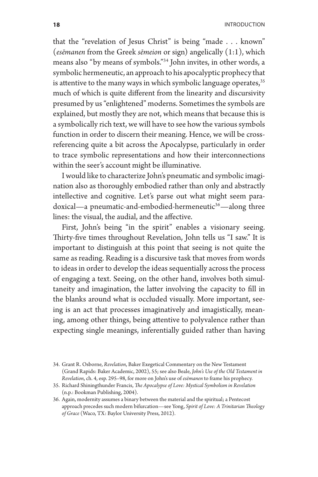that the "revelation of Jesus Christ" is being "made . . . known" (*esēmanen* from the Greek *sēmeion* or sign) angelically (1:1), which means also "by means of symbols."34 John invites, in other words, a symbolic hermeneutic, an approach to his apocalyptic prophecy that is attentive to the many ways in which symbolic language operates,  $35$ much of which is quite different from the linearity and discursivity presumed by us "enlightened" moderns. Sometimes the symbols are explained, but mostly they are not, which means that because this is a symbolically rich text, we will have to see how the various symbols function in order to discern their meaning. Hence, we will be crossreferencing quite a bit across the Apocalypse, particularly in order to trace symbolic representations and how their interconnections within the seer's account might be illuminative.

I would like to characterize John's pneumatic and symbolic imagination also as thoroughly embodied rather than only and abstractly intellective and cognitive. Let's parse out what might seem paradoxical—a pneumatic-and-embodied-hermeneutic<sup>36</sup>—along three lines: the visual, the audial, and the affective.

First, John's being "in the spirit" enables a visionary seeing. Thirty-five times throughout Revelation, John tells us "I saw." It is important to distinguish at this point that seeing is not quite the same as reading. Reading is a discursive task that moves from words to ideas in order to develop the ideas sequentially across the process of engaging a text. Seeing, on the other hand, involves both simultaneity and imagination, the latter involving the capacity to fill in the blanks around what is occluded visually. More important, seeing is an act that processes imaginatively and imagistically, meaning, among other things, being attentive to polyvalence rather than expecting single meanings, inferentially guided rather than having

<sup>34.</sup> Grant R. Osborne, *Revelation*, Baker Exegetical Commentary on the New Testament (Grand Rapids: Baker Academic, 2002), 55; see also Beale, *John's Use of the Old Testament in Revelation*, ch. 4, esp. 295–98, for more on John's use of *esēmanen* to frame his prophecy.

<sup>35.</sup> Richard Shiningthunder Francis, *The Apocalypse of Love: Mystical Symbolism in Revelation* (n.p.: Bookman Publishing, 2004).

<sup>36.</sup> Again, modernity assumes a binary between the material and the spiritual; a Pentecost approach precedes such modern bifurcation—see Yong, *Spirit of Love: A Trinitarian Theology of Grace* (Waco, TX: Baylor University Press, 2012).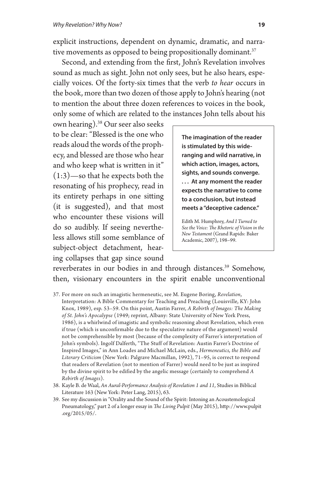explicit instructions, dependent on dynamic, dramatic, and narrative movements as opposed to being propositionally dominant. $37$ 

Second, and extending from the first, John's Revelation involves sound as much as sight. John not only sees, but he also hears, especially voices. Of the forty-six times that the verb *to hear* occurs in the book, more than two dozen of those apply to John's hearing (not to mention the about three dozen references to voices in the book, only some of which are related to the instances John tells about his

own hearing).<sup>38</sup> Our seer also seeks to be clear: "Blessed is the one who reads aloud the words of the prophecy, and blessed are those who hear and who keep what is written in it" (1:3)—so that he expects both the resonating of his prophecy, read in its entirety perhaps in one sitting (it is suggested), and that most who encounter these visions will do so audibly. If seeing nevertheless allows still some semblance of subject-object detachment, hearing collapses that gap since sound

**The imagination of the reader is stimulated by this wideranging and wild narrative, in which action, images, actors, sights, and sounds converge. . . . At any moment the reader expects the narrative to come to a conclusion, but instead meets a "deceptive cadence."**

Edith M. Humphrey, *And I Turned to See the Voice: The Rhetoric of Vision in the New Testament* (Grand Rapids: Baker Academic, 2007), 198–99.

reverberates in our bodies in and through distances.<sup>39</sup> Somehow, then, visionary encounters in the spirit enable unconventional

- 37. For more on such an imagistic hermeneutic, see M. Eugene Boring, *Revelation*, Interpretation: A Bible Commentary for Teaching and Preaching (Louisville, KY: John Knox, 1989), esp. 53–59. On this point, Austin Farrer, *A Rebirth of Images: The Making of St. John's Apocalypse* (1949; reprint, Albany: State University of New York Press, 1986), is a whirlwind of imagistic and symbolic reasoning about Revelation, which even if true (which is unconfirmable due to the speculative nature of the argument) would not be comprehensible by most (because of the complexity of Farrer's interpretation of John's symbols). Ingolf Dalferth, "The Stuff of Revelation: Austin Farrer's Doctrine of Inspired Images," in Ann Loades and Michael McLain, eds., *Hermeneutics, the Bible and Literary Criticism* (New York: Palgrave Macmillan, 1992), 71–95, is correct to respond that readers of Revelation (not to mention of Farrer) would need to be just as inspired by the divine spirit to be edified by the angelic message (certainly to comprehend *A Rebirth of Images*).
- 38. Kayle B. de Waal, *An Aural-Performance Analysis of Revelation 1 and 11*, Studies in Biblical Literature 163 (New York: Peter Lang, 2015), 63.
- 39. See my discussion in "Orality and the Sound of the Spirit: Intoning an Acoustemological Pneumatology," part 2 of a longer essay in *The Living Pulpit* (May 2015), http://www.pulpit .org/2015/05/.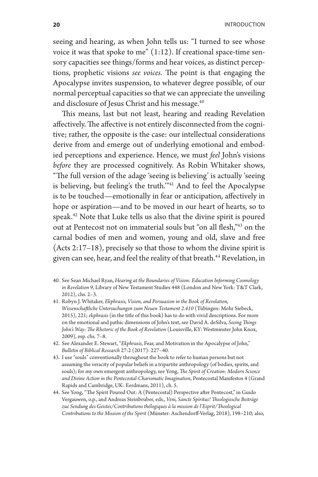seeing and hearing, as when John tells us: "I turned to see whose voice it was that spoke to me"  $(1:12)$ . If creational space-time sensory capacities see things/forms and hear voices, as distinct perceptions, prophetic visions *see voices*. The point is that engaging the Apocalypse invites suspension, to whatever degree possible, of our normal perceptual capacities so that we can appreciate the unveiling and disclosure of Jesus Christ and his message.<sup>40</sup>

This means, last but not least, hearing and reading Revelation affectively. The affective is not entirely disconnected from the cognitive; rather, the opposite is the case: our intellectual considerations derive from and emerge out of underlying emotional and embodied perceptions and experience. Hence, we must *feel* John's visions *before* they are processed cognitively. As Robin Whitaker shows, "The full version of the adage 'seeing is believing' is actually 'seeing is believing, but feeling's the truth."<sup>41</sup> And to feel the Apocalypse is to be touched—emotionally in fear or anticipation, affectively in hope or aspiration—and to be moved in our heart of hearts, so to speak.<sup>42</sup> Note that Luke tells us also that the divine spirit is poured out at Pentecost not on immaterial souls but "on all flesh,"43 on the carnal bodies of men and women, young and old, slave and free (Acts 2:17–18), precisely so that those to whom the divine spirit is given can see, hear, and feel the reality of that breath.<sup>44</sup> Revelation, in

- 40. See Sean Michael Ryan, *Hearing at the Boundaries of Vision: Education Informing Cosmology in Revelation 9*, Library of New Testament Studies 448 (London and New York: T&T Clark, 2012), chs. 2–3.
- 41. Robyn J. Whitaker, *Ekphrasis, Vision, and Persuasion in the Book of Revelation, Wissenschaftliche Untersuchungen zum Neuen Testament 2.410* (Tübingen: Mohr Siebeck, 2015), 221; *ekphrasis* (in the title of this book) has to do with vivid descriptions. For more on the emotional and pathic dimensions of John's text, see David A. deSilva, *Seeing Things John's Way: The Rhetoric of the Book of Revelation* (Louisville, KY: Westminster John Knox, 2009), esp. chs. 7–8.
- 42. See Alexander E. Stewart, "*Ekphrasis*, Fear, and Motivation in the Apocalypse of John," *Bulletin of Biblical Research* 27:2 (2017): 227–40.
- 43. I use "souls" conventionally throughout the book to refer to human persons but not assuming the veracity of popular beliefs in a tripartite anthropology (of bodies, spirits, and souls); for my own emergent anthropology, see Yong, *The Spirit of Creation: Modern Science and Divine Action in the Pentecostal-Charismatic Imagination*, Pentecostal Manifestos 4 (Grand Rapids and Cambridge, UK: Eerdmans, 2011), ch. 5.
- 44. See Yong, "The Spirit Poured Out: A (Pentecostal) Perspective after Pentecost," in Guido Vergauwen, o.p., and Andreas Steinbruber, eds., *Veni, Sancte Spiritus! Theologiesche Beiträge zue Sendung des Geistes/Contributions thélogiques à la mission de l'Esprit/Theological Contributions to the Mission of the Spirit* (Münster: Aschendorff-Verlag, 2018), 198–210; also,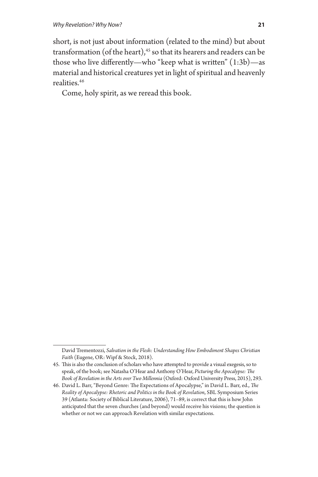short, is not just about information (related to the mind) but about transformation (of the heart), $45$  so that its hearers and readers can be those who live differently—who "keep what is written" (1:3b)—as material and historical creatures yet in light of spiritual and heavenly realities.46

Come, holy spirit, as we reread this book.

David Trementozzi, *Salvation in the Flesh: Understanding How Embodiment Shapes Christian Faith* (Eugene, OR: Wipf & Stock, 2018).

<sup>45.</sup> This is also the conclusion of scholars who have attempted to provide a visual exegesis, so to speak, of the book; see Natasha O'Hear and Anthony O'Hear, *Picturing the Apocalypse: The Book of Revelation in the Arts over Two Millennia* (Oxford: Oxford University Press, 2015), 293.

<sup>46.</sup> David L. Barr, "Beyond Genre: The Expectations of Apocalypse," in David L. Barr, ed., *The Reality of Apocalypse: Rhetoric and Politics in the Book of Revelation*, SBL Symposium Series 39 (Atlanta: Society of Biblical Literature, 2006), 71–89, is correct that this is how John anticipated that the seven churches (and beyond) would receive his visions; the question is whether or not we can approach Revelation with similar expectations.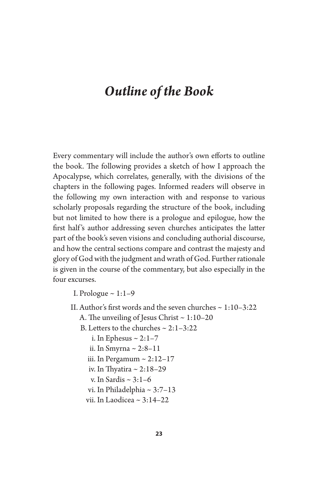## *Outline of the Book*

Every commentary will include the author's own efforts to outline the book. The following provides a sketch of how I approach the Apocalypse, which correlates, generally, with the divisions of the chapters in the following pages. Informed readers will observe in the following my own interaction with and response to various scholarly proposals regarding the structure of the book, including but not limited to how there is a prologue and epilogue, how the first half's author addressing seven churches anticipates the latter part of the book's seven visions and concluding authorial discourse, and how the central sections compare and contrast the majesty and glory of God with the judgment and wrath of God. Further rationale is given in the course of the commentary, but also especially in the four excurses.

I. Prologue  $\sim 1:1-9$ 

- II. Author's first words and the seven churches  $\sim 1:10-3:22$ 
	- A. The unveiling of Jesus Christ  $\sim 1:10-20$
	- B. Letters to the churches  $\sim 2:1-3:22$ 
		- i. In Ephesus  $\sim 2:1-7$
		- ii. In Smyrna  $\sim 2:8-11$
		- iii. In Pergamum  $\sim 2:12-17$
		- iv. In Thyatira  $\sim 2:18-29$
		- v. In Sardis  $\sim$  3:1–6
		- vi. In Philadelphia ~ 3:7–13
		- vii. In Laodicea ~ 3:14–22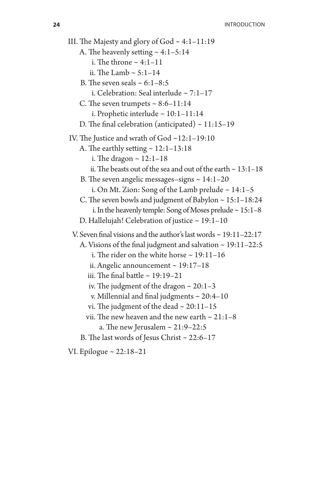III. The Majesty and glory of God  $\sim$  4:1–11:19 A. The heavenly setting  $\sim$  4:1–5:14 i. The throne  $\sim 4:1-11$ ii. The Lamb  $\sim 5:1-14$ B. The seven seals  $\sim 6:1-8:5$ i. Celebration: Seal interlude  $\sim 7:1-17$ C. The seven trumpets  $\sim 8:6-11:14$ i. Prophetic interlude  $\sim 10:1-11:14$ D. The final celebration (anticipated)  $\sim$  11:15–19 IV. The Justice and wrath of God ~12:1–19:10 A. The earthly setting  $\sim 12:1-13:18$ i. The dragon  $\sim 12:1-18$ ii. The beasts out of the sea and out of the earth  $\sim 13:1-18$ B. The seven angelic messages–signs  $\sim 14:1-20$ i. On Mt. Zion: Song of the Lamb prelude  $\sim 14:1-5$ C. The seven bowls and judgment of Babylon  $\sim 15:1-18:24$ i. In the heavenly temple: Song of Moses prelude  $\sim 15:1-8$ D. Hallelujah! Celebration of justice ~ 19:1–10 V. Seven final visions and the author's last words ~ 19:11–22:17 A. Visions of the final judgment and salvation ~ 19:11–22:5 i. The rider on the white horse  $\sim$  19:11-16 ii. Angelic announcement ~ 19:17–18 iii. The final battle  $\sim$  19:19-21 iv. The judgment of the dragon  $\sim 20:1-3$ v. Millennial and final judgments  $\sim 20:4-10$ vi. The judgment of the dead  $\sim 20:11-15$ vii. The new heaven and the new earth  $\sim 21:1-8$ a. The new Jerusalem  $\sim 21:9-22:5$ B. The last words of Jesus Christ  $\sim 22:6-17$ 

VI. Epilogue ~ 22:18–21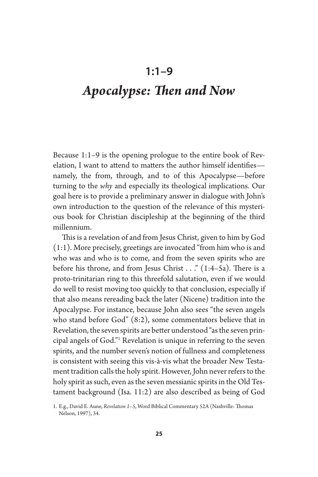### **1:1–9**

# *Apocalypse: Then and Now*

Because 1:1–9 is the opening prologue to the entire book of Revelation, I want to attend to matters the author himself identifies namely, the from, through, and to of this Apocalypse—before turning to the *why* and especially its theological implications. Our goal here is to provide a preliminary answer in dialogue with John's own introduction to the question of the relevance of this mysterious book for Christian discipleship at the beginning of the third millennium.

This is a revelation of and from Jesus Christ, given to him by God (1:1). More precisely, greetings are invocated "from him who is and who was and who is to come, and from the seven spirits who are before his throne, and from Jesus Christ  $\ldots$  " (1:4–5a). There is a proto-trinitarian ring to this threefold salutation, even if we would do well to resist moving too quickly to that conclusion, especially if that also means rereading back the later (Nicene) tradition into the Apocalypse. For instance, because John also sees "the seven angels who stand before God" (8:2), some commentators believe that in Revelation, the seven spirits are better understood "as the seven principal angels of God."1 Revelation is unique in referring to the seven spirits, and the number seven's notion of fullness and completeness is consistent with seeing this vis-à-vis what the broader New Testament tradition calls the holy spirit. However, John never refers to the holy spirit as such, even as the seven messianic spirits in the Old Testament background (Isa. 11:2) are also described as being of God

<sup>1.</sup> E.g., David E. Aune, *Revelation 1–5*, Word Biblical Commentary 52A (Nashville: Thomas Nelson, 1997), 34.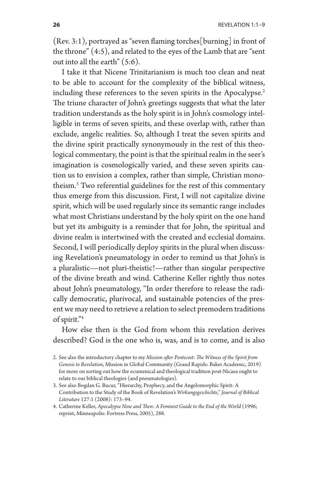(Rev. 3:1), portrayed as "seven flaming torches[burning] in front of the throne" (4:5), and related to the eyes of the Lamb that are "sent out into all the earth" (5:6).

I take it that Nicene Trinitarianism is much too clean and neat to be able to account for the complexity of the biblical witness, including these references to the seven spirits in the Apocalypse.<sup>2</sup> The triune character of John's greetings suggests that what the later tradition understands as the holy spirit is in John's cosmology intelligible in terms of seven spirits, and these overlap with, rather than exclude, angelic realities. So, although I treat the seven spirits and the divine spirit practically synonymously in the rest of this theological commentary, the point is that the spiritual realm in the seer's imagination is cosmologically varied, and these seven spirits caution us to envision a complex, rather than simple, Christian monotheism.3 Two referential guidelines for the rest of this commentary thus emerge from this discussion. First, I will not capitalize divine spirit, which will be used regularly since its semantic range includes what most Christians understand by the holy spirit on the one hand but yet its ambiguity is a reminder that for John, the spiritual and divine realm is intertwined with the created and ecclesial domains. Second, I will periodically deploy spirits in the plural when discussing Revelation's pneumatology in order to remind us that John's is a pluralistic—not pluri-theistic!—rather than singular perspective of the divine breath and wind. Catherine Keller rightly thus notes about John's pneumatology, "In order therefore to release the radically democratic, plurivocal, and sustainable potencies of the present we may need to retrieve a relation to select premodern traditions of spirit."4

How else then is the God from whom this revelation derives described? God is the one who is, was, and is to come, and is also

<sup>2.</sup> See also the introductory chapter to my *Mission after Pentecost*: *The Witness of the Spirit from Genesis to Revelation,* Mission in Global Community (Grand Rapids: Baker Academic, 2019) for more on sorting out how the ecumenical and theological tradition post-Nicaea ought to relate to our biblical theologies (and pneumatologies).

<sup>3.</sup> See also Bogdan G. Bucur, "Hierarchy, Prophecy, and the Angelomorphic Spirit: A Contribution to the Study of the Book of Revelation's *Wirkungsgeschichte*," *Journal of Biblical Literature* 127:1 (2008): 173–94.

<sup>4.</sup> Catherine Keller, *Apocalypse Now and Then: A Feminist Guide to the End of the World* (1996; reprint, Minneapolis: Fortress Press, 2005), 288.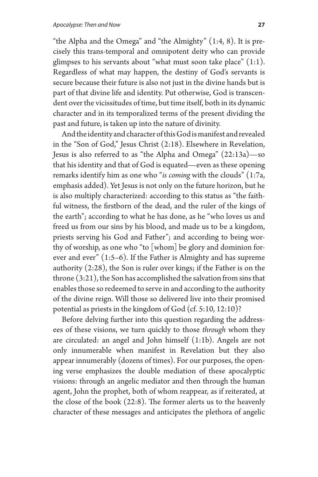"the Alpha and the Omega" and "the Almighty" (1:4, 8). It is precisely this trans-temporal and omnipotent deity who can provide glimpses to his servants about "what must soon take place" (1:1). Regardless of what may happen, the destiny of God's servants is secure because their future is also not just in the divine hands but is part of that divine life and identity. Put otherwise, God is transcendent over the vicissitudes of time, but time itself, both in its dynamic character and in its temporalized terms of the present dividing the past and future, is taken up into the nature of divinity.

And the identity and character of this God is manifest and revealed in the "Son of God," Jesus Christ (2:18). Elsewhere in Revelation, Jesus is also referred to as "the Alpha and Omega" (22:13a)—so that his identity and that of God is equated—even as these opening remarks identify him as one who "*is coming* with the clouds" (1:7a, emphasis added). Yet Jesus is not only on the future horizon, but he is also multiply characterized: according to this status as "the faithful witness, the firstborn of the dead, and the ruler of the kings of the earth"; according to what he has done, as he "who loves us and freed us from our sins by his blood, and made us to be a kingdom, priests serving his God and Father"; and according to being worthy of worship, as one who "to [whom] be glory and dominion forever and ever" (1:5–6). If the Father is Almighty and has supreme authority (2:28), the Son is ruler over kings; if the Father is on the throne (3:21), the Son has accomplished the salvation from sins that enables those so redeemed to serve in and according to the authority of the divine reign. Will those so delivered live into their promised potential as priests in the kingdom of God (cf. 5:10, 12:10)?

Before delving further into this question regarding the addressees of these visions, we turn quickly to those *through* whom they are circulated: an angel and John himself (1:1b). Angels are not only innumerable when manifest in Revelation but they also appear innumerably (dozens of times). For our purposes, the opening verse emphasizes the double mediation of these apocalyptic visions: through an angelic mediator and then through the human agent, John the prophet, both of whom reappear, as if reiterated, at the close of the book (22:8). The former alerts us to the heavenly character of these messages and anticipates the plethora of angelic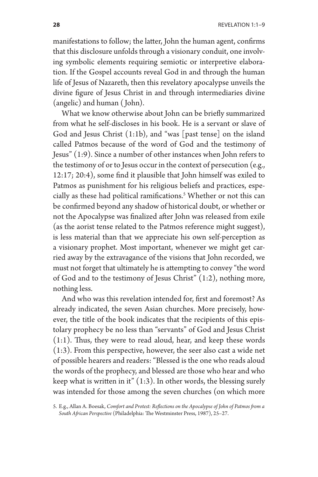manifestations to follow; the latter, John the human agent, confirms that this disclosure unfolds through a visionary conduit, one involving symbolic elements requiring semiotic or interpretive elaboration. If the Gospel accounts reveal God in and through the human life of Jesus of Nazareth, then this revelatory apocalypse unveils the divine figure of Jesus Christ in and through intermediaries divine (angelic) and human ( John).

What we know otherwise about John can be briefly summarized from what he self-discloses in his book. He is a servant or slave of God and Jesus Christ (1:1b), and "was [past tense] on the island called Patmos because of the word of God and the testimony of Jesus" (1:9). Since a number of other instances when John refers to the testimony of or to Jesus occur in the context of persecution (e.g., 12:17; 20:4), some find it plausible that John himself was exiled to Patmos as punishment for his religious beliefs and practices, especially as these had political ramifications.<sup>5</sup> Whether or not this can be confirmed beyond any shadow of historical doubt, or whether or not the Apocalypse was finalized after John was released from exile (as the aorist tense related to the Patmos reference might suggest), is less material than that we appreciate his own self-perception as a visionary prophet. Most important, whenever we might get carried away by the extravagance of the visions that John recorded, we must not forget that ultimately he is attempting to convey "the word of God and to the testimony of Jesus Christ" (1:2), nothing more, nothing less.

And who was this revelation intended for, first and foremost? As already indicated, the seven Asian churches. More precisely, however, the title of the book indicates that the recipients of this epistolary prophecy be no less than "servants" of God and Jesus Christ (1:1). Thus, they were to read aloud, hear, and keep these words (1:3). From this perspective, however, the seer also cast a wide net of possible hearers and readers: "Blessed is the one who reads aloud the words of the prophecy, and blessed are those who hear and who keep what is written in it" (1:3). In other words, the blessing surely was intended for those among the seven churches (on which more

<sup>5.</sup> E.g., Allan A. Boesak, *Comfort and Protest: Reflections on the Apocalypse of John of Patmos from a South African Perspective* (Philadelphia: The Westminster Press, 1987), 25–27.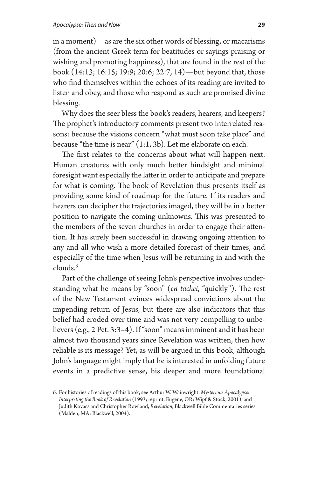in a moment)—as are the six other words of blessing, or macarisms (from the ancient Greek term for beatitudes or sayings praising or wishing and promoting happiness), that are found in the rest of the book (14:13; 16:15; 19:9; 20:6; 22:7, 14)—but beyond that, those who find themselves within the echoes of its reading are invited to listen and obey, and those who respond as such are promised divine blessing.

Why does the seer bless the book's readers, hearers, and keepers? The prophet's introductory comments present two interrelated reasons: because the visions concern "what must soon take place" and because "the time is near" (1:1, 3b). Let me elaborate on each.

The first relates to the concerns about what will happen next. Human creatures with only much better hindsight and minimal foresight want especially the latter in order to anticipate and prepare for what is coming. The book of Revelation thus presents itself as providing some kind of roadmap for the future. If its readers and hearers can decipher the trajectories imaged, they will be in a better position to navigate the coming unknowns. This was presented to the members of the seven churches in order to engage their attention. It has surely been successful in drawing ongoing attention to any and all who wish a more detailed forecast of their times, and especially of the time when Jesus will be returning in and with the clouds.6

Part of the challenge of seeing John's perspective involves understanding what he means by "soon" (*en tachei*, "quickly"). The rest of the New Testament evinces widespread convictions about the impending return of Jesus, but there are also indicators that this belief had eroded over time and was not very compelling to unbelievers (e.g., 2 Pet. 3:3–4). If "soon" means imminent and it has been almost two thousand years since Revelation was written, then how reliable is its message? Yet, as will be argued in this book, although John's language might imply that he is interested in unfolding future events in a predictive sense, his deeper and more foundational

<sup>6.</sup> For histories of readings of this book, see Arthur W. Wainwright, *Mysterious Apocalypse: Interpreting the Book of Revelation* (1993; reprint, Eugene, OR: Wipf & Stock, 2001), and Judith Kovacs and Christopher Rowland, *Revelation*, Blackwell Bible Commentaries series (Malden, MA: Blackwell, 2004).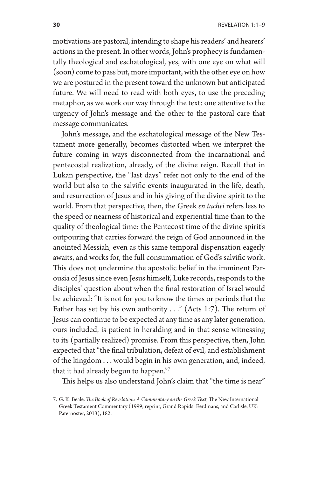motivations are pastoral, intending to shape his readers' and hearers' actions in the present. In other words, John's prophecy is fundamentally theological and eschatological, yes, with one eye on what will (soon) come to pass but, more important, with the other eye on how we are postured in the present toward the unknown but anticipated future. We will need to read with both eyes, to use the preceding metaphor, as we work our way through the text: one attentive to the urgency of John's message and the other to the pastoral care that message communicates.

John's message, and the eschatological message of the New Testament more generally, becomes distorted when we interpret the future coming in ways disconnected from the incarnational and pentecostal realization, already, of the divine reign. Recall that in Lukan perspective, the "last days" refer not only to the end of the world but also to the salvific events inaugurated in the life, death, and resurrection of Jesus and in his giving of the divine spirit to the world. From that perspective, then, the Greek *en tachei* refers less to the speed or nearness of historical and experiential time than to the quality of theological time: the Pentecost time of the divine spirit's outpouring that carries forward the reign of God announced in the anointed Messiah, even as this same temporal dispensation eagerly awaits, and works for, the full consummation of God's salvific work. This does not undermine the apostolic belief in the imminent Parousia of Jesus since even Jesus himself, Luke records, responds to the disciples' question about when the final restoration of Israel would be achieved: "It is not for you to know the times or periods that the Father has set by his own authority  $\ldots$ ." (Acts 1:7). The return of Jesus can continue to be expected at any time as any later generation, ours included, is patient in heralding and in that sense witnessing to its (partially realized) promise. From this perspective, then, John expected that "the final tribulation, defeat of evil, and establishment of the kingdom . . . would begin in his own generation, and, indeed, that it had already begun to happen."7

This helps us also understand John's claim that "the time is near"

<sup>7.</sup> G. K. Beale, *The Book of Revelation: A Commentary on the Greek Text*, The New International Greek Testament Commentary (1999; reprint, Grand Rapids: Eerdmans, and Carlisle, UK: Paternoster, 2013), 182.